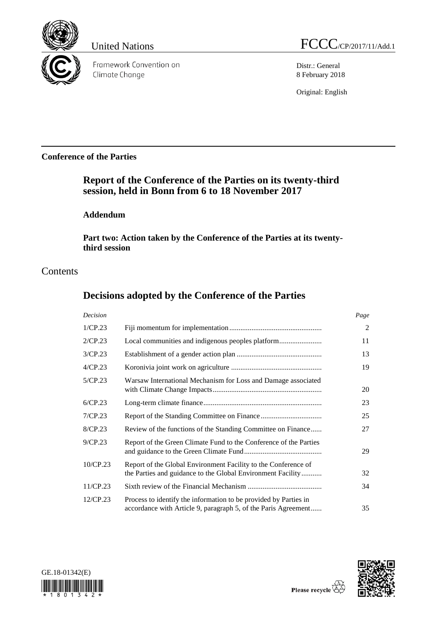

Framework Convention on Climate Change

United Nations FCCC/CP/2017/11/Add.1

Distr.: General 8 February 2018

Original: English

# **Conference of the Parties**

# **Report of the Conference of the Parties on its twenty-third session, held in Bonn from 6 to 18 November 2017**

# **Addendum**

**Part two: Action taken by the Conference of the Parties at its twentythird session**

# **Contents**

# **Decisions adopted by the Conference of the Parties**

| Decision    |                                                                                                                                    | Page |
|-------------|------------------------------------------------------------------------------------------------------------------------------------|------|
| 1/CP.23     |                                                                                                                                    | 2    |
| 2/CP.23     |                                                                                                                                    | 11   |
| 3/CP.23     |                                                                                                                                    | 13   |
| 4/CP.23     |                                                                                                                                    | 19   |
| 5/CP.23     | Warsaw International Mechanism for Loss and Damage associated                                                                      | 20   |
| 6/CP.23     |                                                                                                                                    | 23   |
| 7/CP.23     |                                                                                                                                    | 25   |
| 8/CP.23     | Review of the functions of the Standing Committee on Finance                                                                       | 27   |
| 9/CP.23     | Report of the Green Climate Fund to the Conference of the Parties                                                                  | 29   |
| 10/CP.23    | Report of the Global Environment Facility to the Conference of<br>the Parties and guidance to the Global Environment Facility      | 32   |
| 11/CP.23    |                                                                                                                                    | 34   |
| $12$ /CP.23 | Process to identify the information to be provided by Parties in<br>accordance with Article 9, paragraph 5, of the Paris Agreement | 35   |



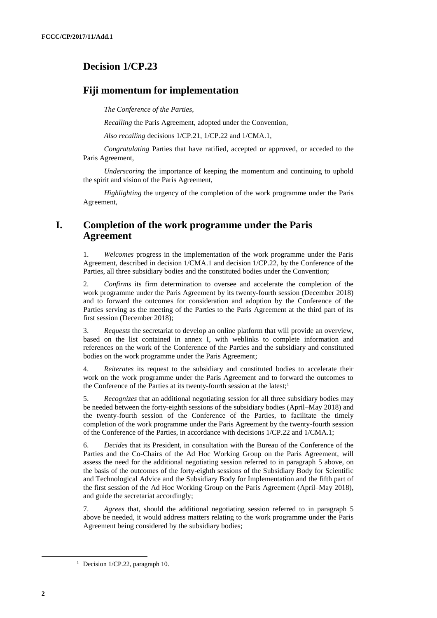# **Decision 1/CP.23**

### **Fiji momentum for implementation**

*The Conference of the Parties*,

*Recalling* the Paris Agreement, adopted under the Convention,

*Also recalling* decisions 1/CP.21, 1/CP.22 and 1/CMA.1,

*Congratulating* Parties that have ratified, accepted or approved, or acceded to the Paris Agreement,

*Underscoring* the importance of keeping the momentum and continuing to uphold the spirit and vision of the Paris Agreement,

*Highlighting* the urgency of the completion of the work programme under the Paris Agreement,

# **I. Completion of the work programme under the Paris Agreement**

1. *Welcomes* progress in the implementation of the work programme under the Paris Agreement, described in decision 1/CMA.1 and decision 1/CP.22, by the Conference of the Parties, all three subsidiary bodies and the constituted bodies under the Convention;

2. *Confirms* its firm determination to oversee and accelerate the completion of the work programme under the Paris Agreement by its twenty-fourth session (December 2018) and to forward the outcomes for consideration and adoption by the Conference of the Parties serving as the meeting of the Parties to the Paris Agreement at the third part of its first session (December 2018);

3. *Requests* the secretariat to develop an online platform that will provide an overview, based on the list contained in annex I, with weblinks to complete information and references on the work of the Conference of the Parties and the subsidiary and constituted bodies on the work programme under the Paris Agreement;

4. *Reiterates* its request to the subsidiary and constituted bodies to accelerate their work on the work programme under the Paris Agreement and to forward the outcomes to the Conference of the Parties at its twenty-fourth session at the latest;<sup>1</sup>

<span id="page-1-0"></span>5. *Recognizes* that an additional negotiating session for all three subsidiary bodies may be needed between the forty-eighth sessions of the subsidiary bodies (April–May 2018) and the twenty-fourth session of the Conference of the Parties, to facilitate the timely completion of the work programme under the Paris Agreement by the twenty-fourth session of the Conference of the Parties, in accordance with decisions 1/CP.22 and 1/CMA.1;

6. *Decides* that its President, in consultation with the Bureau of the Conference of the Parties and the Co-Chairs of the Ad Hoc Working Group on the Paris Agreement, will assess the need for the additional negotiating session referred to in paragraph [5](#page-1-0) above, on the basis of the outcomes of the forty-eighth sessions of the Subsidiary Body for Scientific and Technological Advice and the Subsidiary Body for Implementation and the fifth part of the first session of the Ad Hoc Working Group on the Paris Agreement (April–May 2018), and guide the secretariat accordingly;

7. *Agrees* that, should the additional negotiating session referred to in paragraph [5](#page-1-0) above be needed, it would address matters relating to the work programme under the Paris Agreement being considered by the subsidiary bodies;

 $\overline{a}$ 

<sup>&</sup>lt;sup>1</sup> Decision 1/CP.22, paragraph 10.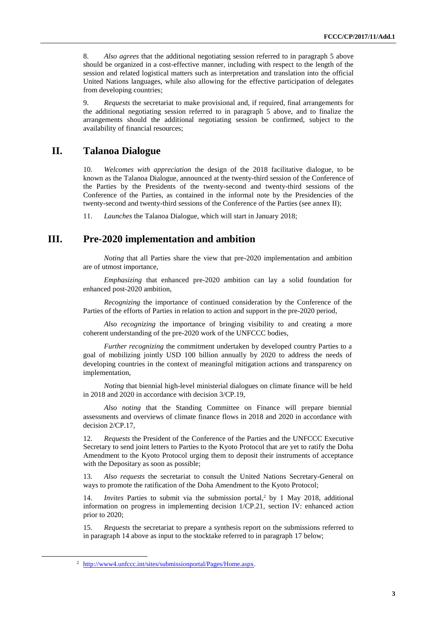8. *Also agrees* that the additional negotiating session referred to in paragraph [5](#page-1-0) above should be organized in a cost-effective manner, including with respect to the length of the session and related logistical matters such as interpretation and translation into the official United Nations languages, while also allowing for the effective participation of delegates from developing countries;

9. *Requests* the secretariat to make provisional and, if required, final arrangements for the additional negotiating session referred to in paragraph [5](#page-1-0) above, and to finalize the arrangements should the additional negotiating session be confirmed, subject to the availability of financial resources;

### **II. Talanoa Dialogue**

10. *Welcomes with appreciation* the design of the 2018 facilitative dialogue, to be known as the Talanoa Dialogue, announced at the twenty-third session of the Conference of the Parties by the Presidents of the twenty-second and twenty-third sessions of the Conference of the Parties, as contained in the informal note by the Presidencies of the twenty-second and twenty-third sessions of the Conference of the Parties (see annex II);

11. *Launches* the Talanoa Dialogue, which will start in January 2018;

# **III. Pre-2020 implementation and ambition**

*Noting* that all Parties share the view that pre-2020 implementation and ambition are of utmost importance,

*Emphasizing* that enhanced pre-2020 ambition can lay a solid foundation for enhanced post-2020 ambition,

*Recognizing* the importance of continued consideration by the Conference of the Parties of the efforts of Parties in relation to action and support in the pre-2020 period,

*Also recognizing* the importance of bringing visibility to and creating a more coherent understanding of the pre-2020 work of the UNFCCC bodies,

*Further recognizing* the commitment undertaken by developed country Parties to a goal of mobilizing jointly USD 100 billion annually by 2020 to address the needs of developing countries in the context of meaningful mitigation actions and transparency on implementation,

*Noting* that biennial high-level ministerial dialogues on climate finance will be held in 2018 and 2020 in accordance with decision 3/CP.19,

*Also noting* that the Standing Committee on Finance will prepare biennial assessments and overviews of climate finance flows in 2018 and 2020 in accordance with decision 2/CP.17,

12. *Requests* the President of the Conference of the Parties and the UNFCCC Executive Secretary to send joint letters to Parties to the Kyoto Protocol that are yet to ratify the Doha Amendment to the Kyoto Protocol urging them to deposit their instruments of acceptance with the Depositary as soon as possible;

13. *Also requests* the secretariat to consult the United Nations Secretary-General on ways to promote the ratification of the Doha Amendment to the Kyoto Protocol;

<span id="page-2-0"></span>14. *Invites* Parties to submit via the submission portal, <sup>2</sup> by 1 May 2018, additional information on progress in implementing decision 1/CP.21, section IV: enhanced action prior to 2020;

15. *Requests* the secretariat to prepare a synthesis report on the submissions referred to in paragraph [14](#page-2-0) above as input to the stocktake referred to in paragraph [17](#page-3-0) below;

 $\overline{a}$ 

<sup>2</sup> [http://www4.unfccc.int/sites/submissionportal/Pages/Home.aspx.](http://www4.unfccc.int/sites/submissionportal/Pages/Home.aspx)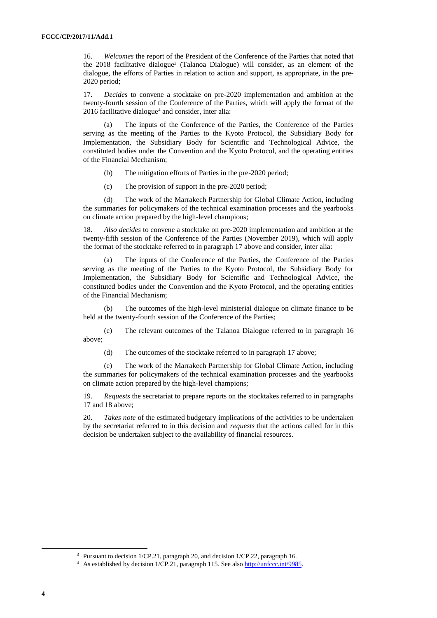<span id="page-3-1"></span>16. *Welcomes* the report of the President of the Conference of the Parties that noted that the 2018 facilitative dialogue<sup>3</sup> (Talanoa Dialogue) will consider, as an element of the dialogue, the efforts of Parties in relation to action and support, as appropriate, in the pre-2020 period;

<span id="page-3-0"></span>17. *Decides* to convene a stocktake on pre-2020 implementation and ambition at the twenty-fourth session of the Conference of the Parties, which will apply the format of the  $2016$  facilitative dialogue<sup>4</sup> and consider, inter alia:

(a) The inputs of the Conference of the Parties, the Conference of the Parties serving as the meeting of the Parties to the Kyoto Protocol, the Subsidiary Body for Implementation, the Subsidiary Body for Scientific and Technological Advice, the constituted bodies under the Convention and the Kyoto Protocol, and the operating entities of the Financial Mechanism;

(b) The mitigation efforts of Parties in the pre-2020 period;

(c) The provision of support in the pre-2020 period;

(d) The work of the Marrakech Partnership for Global Climate Action, including the summaries for policymakers of the technical examination processes and the yearbooks on climate action prepared by the high-level champions;

<span id="page-3-2"></span>18. *Also decides* to convene a stocktake on pre-2020 implementation and ambition at the twenty-fifth session of the Conference of the Parties (November 2019), which will apply the format of the stocktake referred to in paragraph [17](#page-3-0) above and consider, inter alia:

(a) The inputs of the Conference of the Parties, the Conference of the Parties serving as the meeting of the Parties to the Kyoto Protocol, the Subsidiary Body for Implementation, the Subsidiary Body for Scientific and Technological Advice, the constituted bodies under the Convention and the Kyoto Protocol, and the operating entities of the Financial Mechanism;

(b) The outcomes of the high-level ministerial dialogue on climate finance to be held at the twenty-fourth session of the Conference of the Parties;

(c) The relevant outcomes of the Talanoa Dialogue referred to in paragraph [16](#page-3-1) above;

(d) The outcomes of the stocktake referred to in paragraph [17](#page-3-0) above;

(e) The work of the Marrakech Partnership for Global Climate Action, including the summaries for policymakers of the technical examination processes and the yearbooks on climate action prepared by the high-level champions;

19. *Requests* the secretariat to prepare reports on the stocktakes referred to in paragraphs [17](#page-3-0) and [18](#page-3-2) above;

20. *Takes note* of the estimated budgetary implications of the activities to be undertaken by the secretariat referred to in this decision and *requests* that the actions called for in this decision be undertaken subject to the availability of financial resources.

<sup>3</sup> Pursuant to decision 1/CP.21, paragraph 20, and decision 1/CP.22, paragraph 16.

<sup>4</sup> As established by decision 1/CP.21, paragraph 115. See als[o http://unfccc.int/9985.](http://unfccc.int/9985)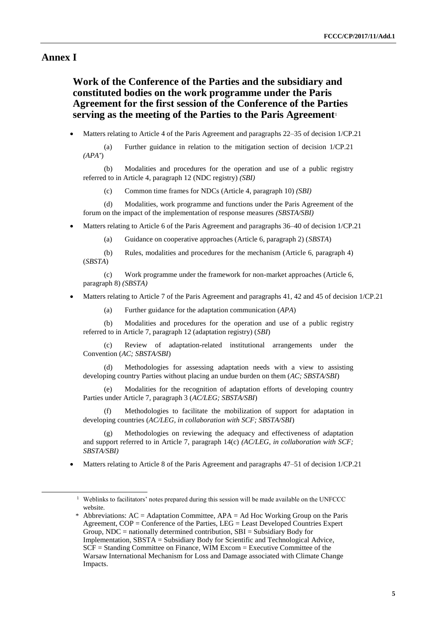### **Annex I**

-

# **Work of the Conference of the Parties and the subsidiary and constituted bodies on the work programme under the Paris Agreement for the first session of the Conference of the Parties serving as the meeting of the Parties to the Paris Agreement**<sup>1</sup>

Matters relating to Article 4 of the Paris Agreement and paragraphs 22–35 of decision 1/CP.21

(a) Further guidance in relation to the mitigation section of decision 1/CP.21 *(APA\** )

Modalities and procedures for the operation and use of a public registry referred to in Article 4, paragraph 12 (NDC registry) *(SBI)*

(c) Common time frames for NDCs (Article 4, paragraph 10) *(SBI)*

(d) Modalities, work programme and functions under the Paris Agreement of the forum on the impact of the implementation of response measures *(SBSTA/SBI)*

Matters relating to Article 6 of the Paris Agreement and paragraphs 36–40 of decision 1/CP.21

(a) Guidance on cooperative approaches (Article 6, paragraph 2) (*SBSTA*)

(b) Rules, modalities and procedures for the mechanism (Article 6, paragraph 4) (*SBSTA*)

(c) Work programme under the framework for non-market approaches (Article 6, paragraph 8) *(SBSTA)*

- Matters relating to Article 7 of the Paris Agreement and paragraphs 41, 42 and 45 of decision 1/CP.21
	- (a) Further guidance for the adaptation communication (*APA*)

(b) Modalities and procedures for the operation and use of a public registry referred to in Article 7, paragraph 12 (adaptation registry) (*SBI*)

(c) Review of adaptation-related institutional arrangements under the Convention (*AC; SBSTA/SBI*)

(d) Methodologies for assessing adaptation needs with a view to assisting developing country Parties without placing an undue burden on them (*AC; SBSTA/SBI*)

(e) Modalities for the recognition of adaptation efforts of developing country Parties under Article 7, paragraph 3 (*AC/LEG; SBSTA/SBI*)

Methodologies to facilitate the mobilization of support for adaptation in developing countries (*AC/LEG, in collaboration with SCF; SBSTA/SBI*)

(g) Methodologies on reviewing the adequacy and effectiveness of adaptation and support referred to in Article 7, paragraph 14(c) *(AC/LEG, in collaboration with SCF; SBSTA/SBI)*

Matters relating to Article 8 of the Paris Agreement and paragraphs 47–51 of decision 1/CP.21

<sup>&</sup>lt;sup>1</sup> Weblinks to facilitators' notes prepared during this session will be made available on the UNFCCC website.

<sup>\*</sup> Abbreviations: AC = Adaptation Committee, APA = Ad Hoc Working Group on the Paris Agreement, COP = Conference of the Parties, LEG = Least Developed Countries Expert Group,  $NDC =$  nationally determined contribution,  $SBI =$  Subsidiary Body for Implementation, SBSTA = Subsidiary Body for Scientific and Technological Advice, SCF = Standing Committee on Finance, WIM Excom = Executive Committee of the Warsaw International Mechanism for Loss and Damage associated with Climate Change Impacts.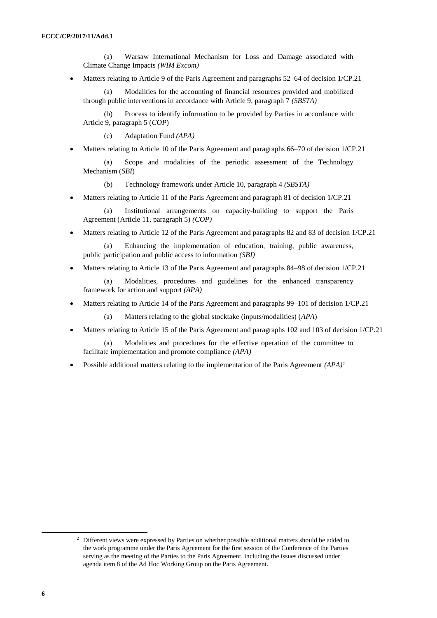(a) Warsaw International Mechanism for Loss and Damage associated with Climate Change Impacts *(WIM Excom)*

Matters relating to Article 9 of the Paris Agreement and paragraphs 52–64 of decision 1/CP.21

(a) Modalities for the accounting of financial resources provided and mobilized through public interventions in accordance with Article 9, paragraph 7 *(SBSTA)*

(b) Process to identify information to be provided by Parties in accordance with Article 9, paragraph 5 (*COP*)

(c) Adaptation Fund *(APA)*

Matters relating to Article 10 of the Paris Agreement and paragraphs 66–70 of decision 1/CP.21

(a) Scope and modalities of the periodic assessment of the Technology Mechanism (*SBI*)

(b) Technology framework under Article 10, paragraph 4 *(SBSTA)*

Matters relating to Article 11 of the Paris Agreement and paragraph 81 of decision 1/CP.21

(a) Institutional arrangements on capacity-building to support the Paris Agreement (Article 11, paragraph 5) *(COP)*

Matters relating to Article 12 of the Paris Agreement and paragraphs 82 and 83 of decision 1/CP.21

Enhancing the implementation of education, training, public awareness, public participation and public access to information *(SBI)*

Matters relating to Article 13 of the Paris Agreement and paragraphs 84–98 of decision 1/CP.21

(a) Modalities, procedures and guidelines for the enhanced transparency framework for action and support *(APA)*

Matters relating to Article 14 of the Paris Agreement and paragraphs 99–101 of decision 1/CP.21

(a) Matters relating to the global stocktake (inputs/modalities) (*APA*)

Matters relating to Article 15 of the Paris Agreement and paragraphs 102 and 103 of decision 1/CP.21

(a) Modalities and procedures for the effective operation of the committee to facilitate implementation and promote compliance *(APA)*

Possible additional matters relating to the implementation of the Paris Agreement *(APA)*<sup>2</sup>

<sup>&</sup>lt;sup>2</sup> Different views were expressed by Parties on whether possible additional matters should be added to the work programme under the Paris Agreement for the first session of the Conference of the Parties serving as the meeting of the Parties to the Paris Agreement, including the issues discussed under agenda item 8 of the Ad Hoc Working Group on the Paris Agreement.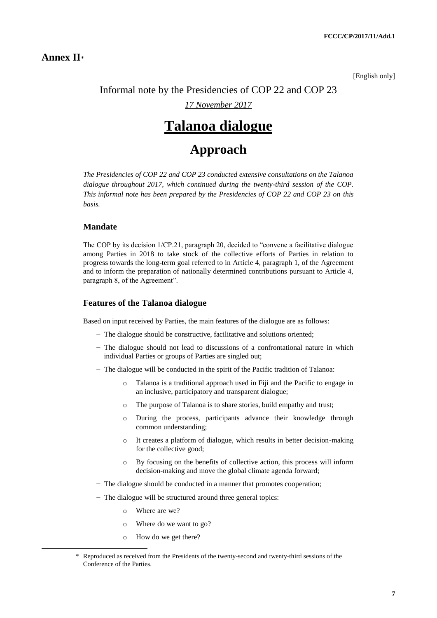### **Annex II**\*

[English only]

# Informal note by the Presidencies of COP 22 and COP 23

*17 November 2017*

# **Talanoa dialogue**

# **Approach**

*The Presidencies of COP 22 and COP 23 conducted extensive consultations on the Talanoa dialogue throughout 2017, which continued during the twenty-third session of the COP. This informal note has been prepared by the Presidencies of COP 22 and COP 23 on this basis.* 

### **Mandate**

The COP by its decision 1/CP.21, paragraph 20, decided to "convene a facilitative dialogue among Parties in 2018 to take stock of the collective efforts of Parties in relation to progress towards the long-term goal referred to in Article 4, paragraph 1, of the Agreement and to inform the preparation of nationally determined contributions pursuant to Article 4, paragraph 8, of the Agreement".

#### **Features of the Talanoa dialogue**

Based on input received by Parties, the main features of the dialogue are as follows:

- − The dialogue should be constructive, facilitative and solutions oriented;
- − The dialogue should not lead to discussions of a confrontational nature in which individual Parties or groups of Parties are singled out;
- − The dialogue will be conducted in the spirit of the Pacific tradition of Talanoa:
	- o Talanoa is a traditional approach used in Fiji and the Pacific to engage in an inclusive, participatory and transparent dialogue;
	- o The purpose of Talanoa is to share stories, build empathy and trust;
	- o During the process, participants advance their knowledge through common understanding;
	- o It creates a platform of dialogue, which results in better decision-making for the collective good;
	- o By focusing on the benefits of collective action, this process will inform decision-making and move the global climate agenda forward;
- − The dialogue should be conducted in a manner that promotes cooperation;
- − The dialogue will be structured around three general topics:
	- o Where are we?

- o Where do we want to go?
- o How do we get there?

<sup>\*</sup> Reproduced as received from the Presidents of the twenty-second and twenty-third sessions of the Conference of the Parties.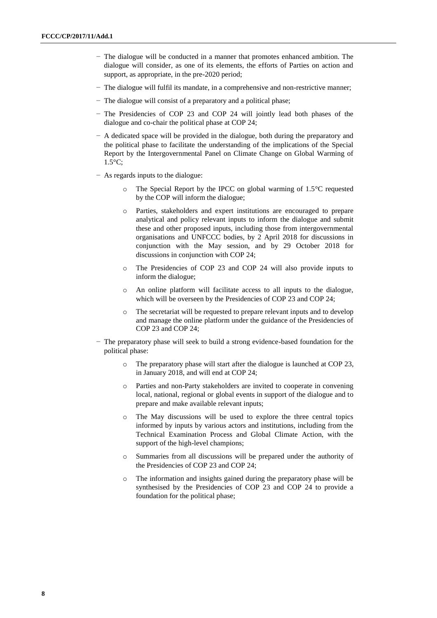- − The dialogue will be conducted in a manner that promotes enhanced ambition. The dialogue will consider, as one of its elements, the efforts of Parties on action and support, as appropriate, in the pre-2020 period;
- − The dialogue will fulfil its mandate, in a comprehensive and non-restrictive manner;
- − The dialogue will consist of a preparatory and a political phase;
- − The Presidencies of COP 23 and COP 24 will jointly lead both phases of the dialogue and co-chair the political phase at COP 24;
- − A dedicated space will be provided in the dialogue, both during the preparatory and the political phase to facilitate the understanding of the implications of the Special Report by the Intergovernmental Panel on Climate Change on Global Warming of 1.5°C;
- − As regards inputs to the dialogue:
	- The Special Report by the IPCC on global warming of  $1.5^{\circ}$ C requested by the COP will inform the dialogue;
	- o Parties, stakeholders and expert institutions are encouraged to prepare analytical and policy relevant inputs to inform the dialogue and submit these and other proposed inputs, including those from intergovernmental organisations and UNFCCC bodies, by 2 April 2018 for discussions in conjunction with the May session, and by 29 October 2018 for discussions in conjunction with COP 24;
	- o The Presidencies of COP 23 and COP 24 will also provide inputs to inform the dialogue;
	- o An online platform will facilitate access to all inputs to the dialogue, which will be overseen by the Presidencies of COP 23 and COP 24;
	- o The secretariat will be requested to prepare relevant inputs and to develop and manage the online platform under the guidance of the Presidencies of COP 23 and COP 24;
- − The preparatory phase will seek to build a strong evidence-based foundation for the political phase:
	- o The preparatory phase will start after the dialogue is launched at COP 23, in January 2018, and will end at COP 24;
	- o Parties and non-Party stakeholders are invited to cooperate in convening local, national, regional or global events in support of the dialogue and to prepare and make available relevant inputs;
	- o The May discussions will be used to explore the three central topics informed by inputs by various actors and institutions, including from the Technical Examination Process and Global Climate Action, with the support of the high-level champions;
	- o Summaries from all discussions will be prepared under the authority of the Presidencies of COP 23 and COP 24;
	- o The information and insights gained during the preparatory phase will be synthesised by the Presidencies of COP 23 and COP 24 to provide a foundation for the political phase;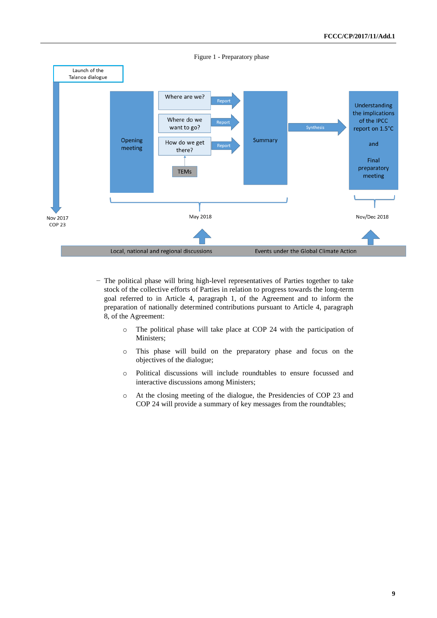

- − The political phase will bring high-level representatives of Parties together to take stock of the collective efforts of Parties in relation to progress towards the long-term goal referred to in Article 4, paragraph 1, of the Agreement and to inform the preparation of nationally determined contributions pursuant to Article 4, paragraph 8, of the Agreement:
	- o The political phase will take place at COP 24 with the participation of Ministers;
	- o This phase will build on the preparatory phase and focus on the objectives of the dialogue;
	- o Political discussions will include roundtables to ensure focussed and interactive discussions among Ministers;
	- o At the closing meeting of the dialogue, the Presidencies of COP 23 and COP 24 will provide a summary of key messages from the roundtables;

Figure 1 - Preparatory phase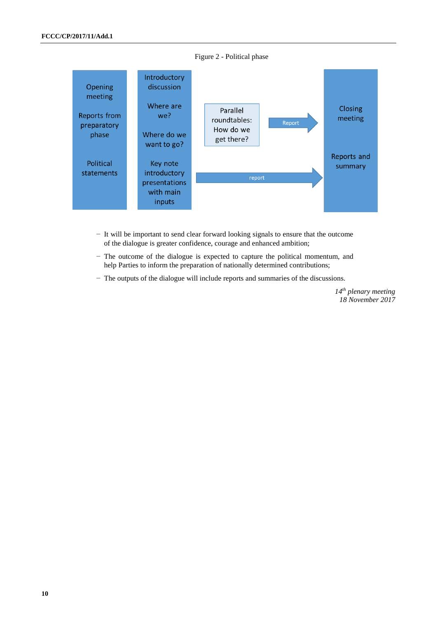

Figure 2 - Political phase

- − It will be important to send clear forward looking signals to ensure that the outcome of the dialogue is greater confidence, courage and enhanced ambition;
- − The outcome of the dialogue is expected to capture the political momentum, and help Parties to inform the preparation of nationally determined contributions;
- − The outputs of the dialogue will include reports and summaries of the discussions.

*14th plenary meeting 18 November 2017*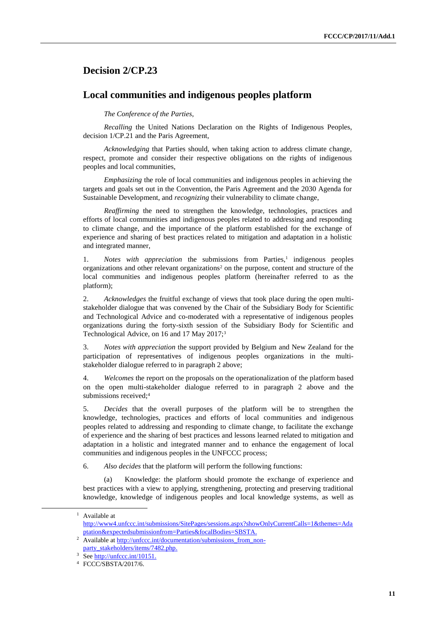### **Decision 2/CP.23**

### **Local communities and indigenous peoples platform**

#### *The Conference of the Parties*,

*Recalling* the United Nations Declaration on the Rights of Indigenous Peoples, decision 1/CP.21 and the Paris Agreement,

*Acknowledging* that Parties should, when taking action to address climate change, respect, promote and consider their respective obligations on the rights of indigenous peoples and local communities,

*Emphasizing* the role of local communities and indigenous peoples in achieving the targets and goals set out in the Convention, the Paris Agreement and the 2030 Agenda for Sustainable Development, and *recognizing* their vulnerability to climate change,

*Reaffirming* the need to strengthen the knowledge, technologies, practices and efforts of local communities and indigenous peoples related to addressing and responding to climate change, and the importance of the platform established for the exchange of experience and sharing of best practices related to mitigation and adaptation in a holistic and integrated manner,

1. *Notes with appreciation* the submissions from Parties,<sup>1</sup> indigenous peoples organizations and other relevant organizations<sup>2</sup> on the purpose, content and structure of the local communities and indigenous peoples platform (hereinafter referred to as the platform);

2. *Acknowledges* the fruitful exchange of views that took place during the open multistakeholder dialogue that was convened by the Chair of the Subsidiary Body for Scientific and Technological Advice and co-moderated with a representative of indigenous peoples organizations during the forty-sixth session of the Subsidiary Body for Scientific and Technological Advice, on 16 and 17 May 2017;<sup>3</sup>

3. *Notes with appreciation* the support provided by Belgium and New Zealand for the participation of representatives of indigenous peoples organizations in the multistakeholder dialogue referred to in paragraph 2 above;

4. *Welcomes* the report on the proposals on the operationalization of the platform based on the open multi-stakeholder dialogue referred to in paragraph 2 above and the submissions received;<sup>4</sup>

5. *Decides* that the overall purposes of the platform will be to strengthen the knowledge, technologies, practices and efforts of local communities and indigenous peoples related to addressing and responding to climate change, to facilitate the exchange of experience and the sharing of best practices and lessons learned related to mitigation and adaptation in a holistic and integrated manner and to enhance the engagement of local communities and indigenous peoples in the UNFCCC process;

6. *Also decides* that the platform will perform the following functions:

(a) Knowledge: the platform should promote the exchange of experience and best practices with a view to applying, strengthening, protecting and preserving traditional knowledge, knowledge of indigenous peoples and local knowledge systems, as well as

<sup>&</sup>lt;sup>1</sup> Available at [http://www4.unfccc.int/submissions/SitePages/sessions.aspx?showOnlyCurrentCalls=1&themes=Ada](http://www4.unfccc.int/submissions/SitePages/sessions.aspx?showOnlyCurrentCalls=1&themes=Adaptation&expectedsubmissionfrom=Parties&focalBodies=SBSTA) [ptation&expectedsubmissionfrom=Parties&focalBodies=SBSTA.](http://www4.unfccc.int/submissions/SitePages/sessions.aspx?showOnlyCurrentCalls=1&themes=Adaptation&expectedsubmissionfrom=Parties&focalBodies=SBSTA)

<sup>&</sup>lt;sup>2</sup> Available at [http://unfccc.int/documentation/submissions\\_from\\_non](http://unfccc.int/documentation/submissions_from_non-party_stakeholders/items/7482.php)[party\\_stakeholders/items/7482.php.](http://unfccc.int/documentation/submissions_from_non-party_stakeholders/items/7482.php)

<sup>&</sup>lt;sup>3</sup> Se[e http://unfccc.int/10151.](http://unfccc.int/10151)

<sup>4</sup> FCCC/SBSTA/2017/6.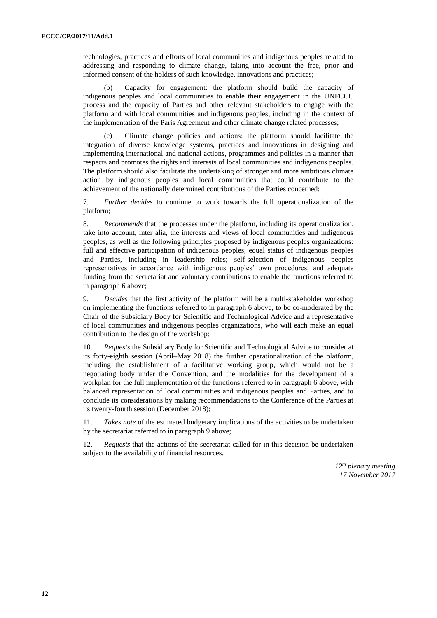technologies, practices and efforts of local communities and indigenous peoples related to addressing and responding to climate change, taking into account the free, prior and informed consent of the holders of such knowledge, innovations and practices;

(b) Capacity for engagement: the platform should build the capacity of indigenous peoples and local communities to enable their engagement in the UNFCCC process and the capacity of Parties and other relevant stakeholders to engage with the platform and with local communities and indigenous peoples, including in the context of the implementation of the Paris Agreement and other climate change related processes;

(c) Climate change policies and actions: the platform should facilitate the integration of diverse knowledge systems, practices and innovations in designing and implementing international and national actions, programmes and policies in a manner that respects and promotes the rights and interests of local communities and indigenous peoples. The platform should also facilitate the undertaking of stronger and more ambitious climate action by indigenous peoples and local communities that could contribute to the achievement of the nationally determined contributions of the Parties concerned;

7. *Further decides* to continue to work towards the full operationalization of the platform;

8. *Recommends* that the processes under the platform, including its operationalization, take into account, inter alia, the interests and views of local communities and indigenous peoples, as well as the following principles proposed by indigenous peoples organizations: full and effective participation of indigenous peoples; equal status of indigenous peoples and Parties, including in leadership roles; self-selection of indigenous peoples representatives in accordance with indigenous peoples' own procedures; and adequate funding from the secretariat and voluntary contributions to enable the functions referred to in paragraph 6 above;

9. *Decides* that the first activity of the platform will be a multi-stakeholder workshop on implementing the functions referred to in paragraph 6 above, to be co-moderated by the Chair of the Subsidiary Body for Scientific and Technological Advice and a representative of local communities and indigenous peoples organizations, who will each make an equal contribution to the design of the workshop;

10. *Requests* the Subsidiary Body for Scientific and Technological Advice to consider at its forty-eighth session (April–May 2018) the further operationalization of the platform, including the establishment of a facilitative working group, which would not be a negotiating body under the Convention, and the modalities for the development of a workplan for the full implementation of the functions referred to in paragraph 6 above, with balanced representation of local communities and indigenous peoples and Parties, and to conclude its considerations by making recommendations to the Conference of the Parties at its twenty-fourth session (December 2018);

11. *Takes note* of the estimated budgetary implications of the activities to be undertaken by the secretariat referred to in paragraph 9 above;

12. *Requests* that the actions of the secretariat called for in this decision be undertaken subject to the availability of financial resources.

> *12th plenary meeting 17 November 2017*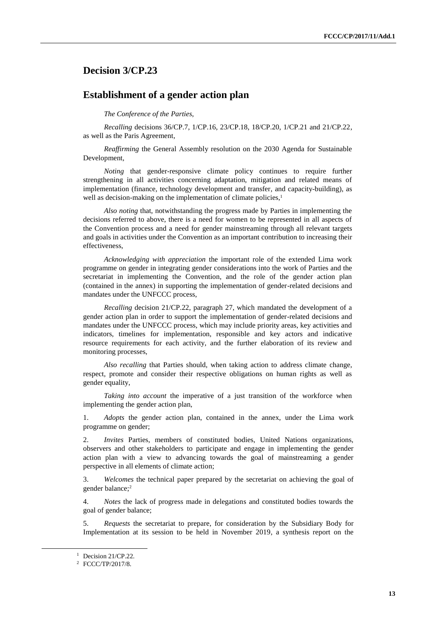### **Decision 3/CP.23**

### **Establishment of a gender action plan**

#### *The Conference of the Parties*,

*Recalling* decisions 36/CP.7, 1/CP.16, 23/CP.18, 18/CP.20, 1/CP.21 and 21/CP.22, as well as the Paris Agreement,

*Reaffirming* the General Assembly resolution on the 2030 Agenda for Sustainable Development,

*Noting* that gender-responsive climate policy continues to require further strengthening in all activities concerning adaptation, mitigation and related means of implementation (finance, technology development and transfer, and capacity-building), as well as decision-making on the implementation of climate policies.<sup>1</sup>

*Also noting* that, notwithstanding the progress made by Parties in implementing the decisions referred to above, there is a need for women to be represented in all aspects of the Convention process and a need for gender mainstreaming through all relevant targets and goals in activities under the Convention as an important contribution to increasing their effectiveness,

*Acknowledging with appreciation* the important role of the extended Lima work programme on gender in integrating gender considerations into the work of Parties and the secretariat in implementing the Convention, and the role of the gender action plan (contained in the annex) in supporting the implementation of gender-related decisions and mandates under the UNFCCC process,

*Recalling* decision 21/CP.22, paragraph 27, which mandated the development of a gender action plan in order to support the implementation of gender-related decisions and mandates under the UNFCCC process, which may include priority areas, key activities and indicators, timelines for implementation, responsible and key actors and indicative resource requirements for each activity, and the further elaboration of its review and monitoring processes,

*Also recalling* that Parties should, when taking action to address climate change, respect, promote and consider their respective obligations on human rights as well as gender equality,

*Taking into account* the imperative of a just transition of the workforce when implementing the gender action plan,

1. *Adopts* the gender action plan, contained in the annex, under the Lima work programme on gender;

2. *Invites* Parties, members of constituted bodies, United Nations organizations, observers and other stakeholders to participate and engage in implementing the gender action plan with a view to advancing towards the goal of mainstreaming a gender perspective in all elements of climate action;

3. *Welcomes* the technical paper prepared by the secretariat on achieving the goal of gender balance; 2

4. *Notes* the lack of progress made in delegations and constituted bodies towards the goal of gender balance;

5. *Requests* the secretariat to prepare, for consideration by the Subsidiary Body for Implementation at its session to be held in November 2019, a synthesis report on the

<sup>&</sup>lt;sup>1</sup> Decision 21/CP.22.

<sup>2</sup> FCCC/TP/2017/8.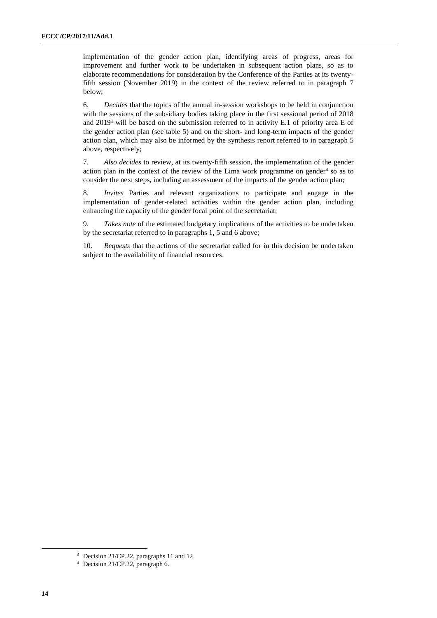implementation of the gender action plan, identifying areas of progress, areas for improvement and further work to be undertaken in subsequent action plans, so as to elaborate recommendations for consideration by the Conference of the Parties at its twentyfifth session (November 2019) in the context of the review referred to in paragraph 7 below;

6. *Decides* that the topics of the annual in-session workshops to be held in conjunction with the sessions of the subsidiary bodies taking place in the first sessional period of 2018 and 2019<sup>3</sup> will be based on the submission referred to in activity E.1 of priority area E of the gender action plan (see table 5) and on the short- and long-term impacts of the gender action plan, which may also be informed by the synthesis report referred to in paragraph 5 above, respectively;

7. *Also decides* to review, at its twenty-fifth session, the implementation of the gender action plan in the context of the review of the Lima work programme on gender $4$  so as to consider the next steps, including an assessment of the impacts of the gender action plan;

8. *Invites* Parties and relevant organizations to participate and engage in the implementation of gender-related activities within the gender action plan, including enhancing the capacity of the gender focal point of the secretariat;

9. *Takes note* of the estimated budgetary implications of the activities to be undertaken by the secretariat referred to in paragraphs 1, 5 and 6 above;

10. *Requests* that the actions of the secretariat called for in this decision be undertaken subject to the availability of financial resources.

<sup>&</sup>lt;sup>3</sup> Decision 21/CP.22, paragraphs 11 and 12.

<sup>4</sup> Decision 21/CP.22, paragraph 6.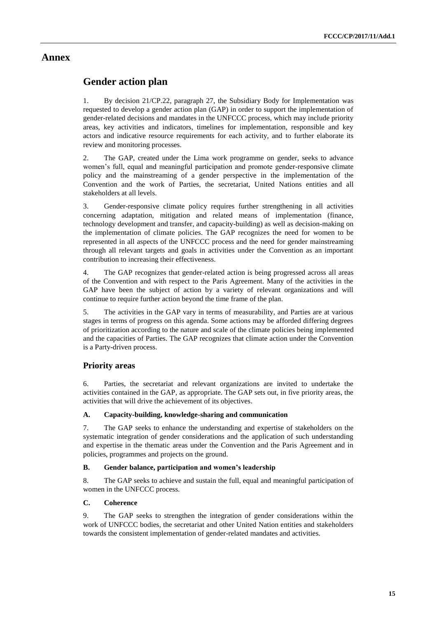### **Annex**

### **Gender action plan**

1. By decision 21/CP.22, paragraph 27, the Subsidiary Body for Implementation was requested to develop a gender action plan (GAP) in order to support the implementation of gender-related decisions and mandates in the UNFCCC process, which may include priority areas, key activities and indicators, timelines for implementation, responsible and key actors and indicative resource requirements for each activity, and to further elaborate its review and monitoring processes.

2. The GAP, created under the Lima work programme on gender, seeks to advance women's full, equal and meaningful participation and promote gender-responsive climate policy and the mainstreaming of a gender perspective in the implementation of the Convention and the work of Parties, the secretariat, United Nations entities and all stakeholders at all levels.

3. Gender-responsive climate policy requires further strengthening in all activities concerning adaptation, mitigation and related means of implementation (finance, technology development and transfer, and capacity-building) as well as decision-making on the implementation of climate policies. The GAP recognizes the need for women to be represented in all aspects of the UNFCCC process and the need for gender mainstreaming through all relevant targets and goals in activities under the Convention as an important contribution to increasing their effectiveness.

4. The GAP recognizes that gender-related action is being progressed across all areas of the Convention and with respect to the Paris Agreement. Many of the activities in the GAP have been the subject of action by a variety of relevant organizations and will continue to require further action beyond the time frame of the plan.

5. The activities in the GAP vary in terms of measurability, and Parties are at various stages in terms of progress on this agenda. Some actions may be afforded differing degrees of prioritization according to the nature and scale of the climate policies being implemented and the capacities of Parties. The GAP recognizes that climate action under the Convention is a Party-driven process.

### **Priority areas**

6. Parties, the secretariat and relevant organizations are invited to undertake the activities contained in the GAP, as appropriate. The GAP sets out, in five priority areas, the activities that will drive the achievement of its objectives.

#### **A. Capacity-building, knowledge-sharing and communication**

7. The GAP seeks to enhance the understanding and expertise of stakeholders on the systematic integration of gender considerations and the application of such understanding and expertise in the thematic areas under the Convention and the Paris Agreement and in policies, programmes and projects on the ground.

#### **B. Gender balance, participation and women's leadership**

8. The GAP seeks to achieve and sustain the full, equal and meaningful participation of women in the UNFCCC process.

#### **C. Coherence**

9. The GAP seeks to strengthen the integration of gender considerations within the work of UNFCCC bodies, the secretariat and other United Nation entities and stakeholders towards the consistent implementation of gender-related mandates and activities.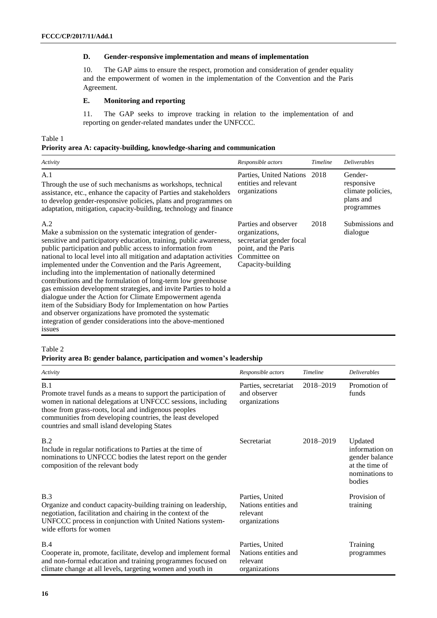#### **D. Gender-responsive implementation and means of implementation**

10. The GAP aims to ensure the respect, promotion and consideration of gender equality and the empowerment of women in the implementation of the Convention and the Paris Agreement.

#### **E. Monitoring and reporting**

11. The GAP seeks to improve tracking in relation to the implementation of and reporting on gender-related mandates under the UNFCCC.

#### Table 1

#### **Priority area A: capacity-building, knowledge-sharing and communication**

| Activity                                                                                                                                                                                                                                                                                                                                                                                                                                                                                                                                                                                                                                                                                                                                                                                                           | Responsible actors                                                                                                              | Timeline | <b>Deliverables</b>                                                   |
|--------------------------------------------------------------------------------------------------------------------------------------------------------------------------------------------------------------------------------------------------------------------------------------------------------------------------------------------------------------------------------------------------------------------------------------------------------------------------------------------------------------------------------------------------------------------------------------------------------------------------------------------------------------------------------------------------------------------------------------------------------------------------------------------------------------------|---------------------------------------------------------------------------------------------------------------------------------|----------|-----------------------------------------------------------------------|
| A.1<br>Through the use of such mechanisms as workshops, technical<br>assistance, etc., enhance the capacity of Parties and stakeholders<br>to develop gender-responsive policies, plans and programmes on<br>adaptation, mitigation, capacity-building, technology and finance                                                                                                                                                                                                                                                                                                                                                                                                                                                                                                                                     | Parties, United Nations 2018<br>entities and relevant<br>organizations                                                          |          | Gender-<br>responsive<br>climate policies,<br>plans and<br>programmes |
| A.2<br>Make a submission on the systematic integration of gender-<br>sensitive and participatory education, training, public awareness,<br>public participation and public access to information from<br>national to local level into all mitigation and adaptation activities<br>implemented under the Convention and the Paris Agreement,<br>including into the implementation of nationally determined<br>contributions and the formulation of long-term low greenhouse<br>gas emission development strategies, and invite Parties to hold a<br>dialogue under the Action for Climate Empowerment agenda<br>item of the Subsidiary Body for Implementation on how Parties<br>and observer organizations have promoted the systematic<br>integration of gender considerations into the above-mentioned<br>issues | Parties and observer<br>organizations,<br>secretariat gender focal<br>point, and the Paris<br>Committee on<br>Capacity-building | 2018     | Submissions and<br>dialogue                                           |

#### Table 2

#### **Priority area B: gender balance, participation and women's leadership**

| Activity                                                                                                                                                                                                                                                                                                    | Responsible actors                                                   | Timeline  | <b>Deliverables</b>                                                                       |
|-------------------------------------------------------------------------------------------------------------------------------------------------------------------------------------------------------------------------------------------------------------------------------------------------------------|----------------------------------------------------------------------|-----------|-------------------------------------------------------------------------------------------|
| B.1<br>Promote travel funds as a means to support the participation of<br>women in national delegations at UNFCCC sessions, including<br>those from grass-roots, local and indigenous peoples<br>communities from developing countries, the least developed<br>countries and small island developing States | Parties, secretariat<br>and observer<br>organizations                | 2018-2019 | Promotion of<br>funds                                                                     |
| B.2<br>Include in regular notifications to Parties at the time of<br>nominations to UNFCCC bodies the latest report on the gender<br>composition of the relevant body                                                                                                                                       | Secretariat                                                          | 2018-2019 | Updated<br>information on<br>gender balance<br>at the time of<br>nominations to<br>bodies |
| B.3<br>Organize and conduct capacity-building training on leadership,<br>negotiation, facilitation and chairing in the context of the<br>UNFCCC process in conjunction with United Nations system-<br>wide efforts for women                                                                                | Parties, United<br>Nations entities and<br>relevant<br>organizations |           | Provision of<br>training                                                                  |
| B.4<br>Cooperate in, promote, facilitate, develop and implement formal<br>and non-formal education and training programmes focused on<br>climate change at all levels, targeting women and youth in                                                                                                         | Parties, United<br>Nations entities and<br>relevant<br>organizations |           | Training<br>programmes                                                                    |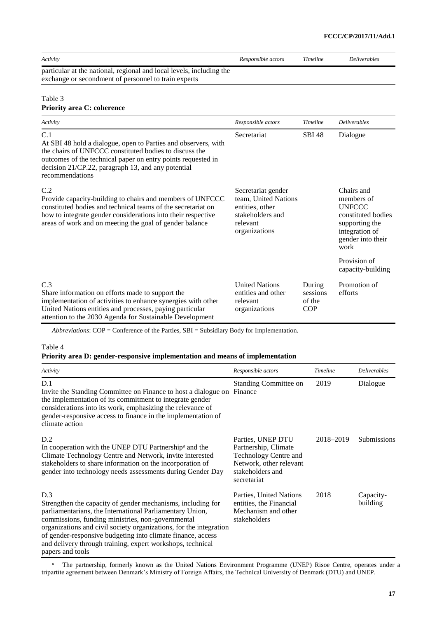| Activity                                                                                                                                                                                                                                                                 | Responsible actors                                                                                             | Timeline                                   | <b>Deliverables</b>                                                                                                              |  |
|--------------------------------------------------------------------------------------------------------------------------------------------------------------------------------------------------------------------------------------------------------------------------|----------------------------------------------------------------------------------------------------------------|--------------------------------------------|----------------------------------------------------------------------------------------------------------------------------------|--|
| particular at the national, regional and local levels, including the<br>exchange or secondment of personnel to train experts                                                                                                                                             |                                                                                                                |                                            |                                                                                                                                  |  |
| Table 3<br><b>Priority area C: coherence</b>                                                                                                                                                                                                                             |                                                                                                                |                                            |                                                                                                                                  |  |
| Activity                                                                                                                                                                                                                                                                 | Responsible actors                                                                                             | Timeline                                   | <b>Deliverables</b>                                                                                                              |  |
| C.1<br>At SBI 48 hold a dialogue, open to Parties and observers, with<br>the chairs of UNFCCC constituted bodies to discuss the<br>outcomes of the technical paper on entry points requested in<br>decision 21/CP.22, paragraph 13, and any potential<br>recommendations | Secretariat                                                                                                    | <b>SBI 48</b>                              | Dialogue                                                                                                                         |  |
| C.2<br>Provide capacity-building to chairs and members of UNFCCC<br>constituted bodies and technical teams of the secretariat on<br>how to integrate gender considerations into their respective<br>areas of work and on meeting the goal of gender balance              | Secretariat gender<br>team, United Nations<br>entities, other<br>stakeholders and<br>relevant<br>organizations |                                            | Chairs and<br>members of<br><b>UNFCCC</b><br>constituted bodies<br>supporting the<br>integration of<br>gender into their<br>work |  |
|                                                                                                                                                                                                                                                                          |                                                                                                                |                                            | Provision of<br>capacity-building                                                                                                |  |
| C.3<br>Share information on efforts made to support the<br>implementation of activities to enhance synergies with other<br>United Nations entities and processes, paying particular<br>attention to the 2030 Agenda for Sustainable Development                          | <b>United Nations</b><br>entities and other<br>relevant<br>organizations                                       | During<br>sessions<br>of the<br><b>COP</b> | Promotion of<br>efforts                                                                                                          |  |

*Abbreviations*: COP = Conference of the Parties, SBI = Subsidiary Body for Implementation.

#### Table 4

#### **Priority area D: gender-responsive implementation and means of implementation**

| Activity                                                                                                                                                                                                                                                                                                                                                                                                   | Responsible actors                                                                                                               | Timeline  | <b>Deliverables</b>   |
|------------------------------------------------------------------------------------------------------------------------------------------------------------------------------------------------------------------------------------------------------------------------------------------------------------------------------------------------------------------------------------------------------------|----------------------------------------------------------------------------------------------------------------------------------|-----------|-----------------------|
| D.1<br>Invite the Standing Committee on Finance to host a dialogue on<br>the implementation of its commitment to integrate gender<br>considerations into its work, emphasizing the relevance of<br>gender-responsive access to finance in the implementation of<br>climate action                                                                                                                          | Standing Committee on<br>Finance                                                                                                 | 2019      | Dialogue              |
| D.2<br>In cooperation with the UNEP DTU Partnership <sup>a</sup> and the<br>Climate Technology Centre and Network, invite interested<br>stakeholders to share information on the incorporation of<br>gender into technology needs assessments during Gender Day                                                                                                                                            | Parties, UNEP DTU<br>Partnership, Climate<br>Technology Centre and<br>Network, other relevant<br>stakeholders and<br>secretariat | 2018–2019 | Submissions           |
| D.3<br>Strengthen the capacity of gender mechanisms, including for<br>parliamentarians, the International Parliamentary Union,<br>commissions, funding ministries, non-governmental<br>organizations and civil society organizations, for the integration<br>of gender-responsive budgeting into climate finance, access<br>and delivery through training, expert workshops, technical<br>papers and tools | Parties, United Nations<br>entities, the Financial<br>Mechanism and other<br>stakeholders                                        | 2018      | Capacity-<br>building |

*<sup>a</sup>* The partnership, formerly known as the United Nations Environment Programme (UNEP) Risoe Centre, operates under a tripartite agreement between Denmark's Ministry of Foreign Affairs, the Technical University of Denmark (DTU) and UNEP.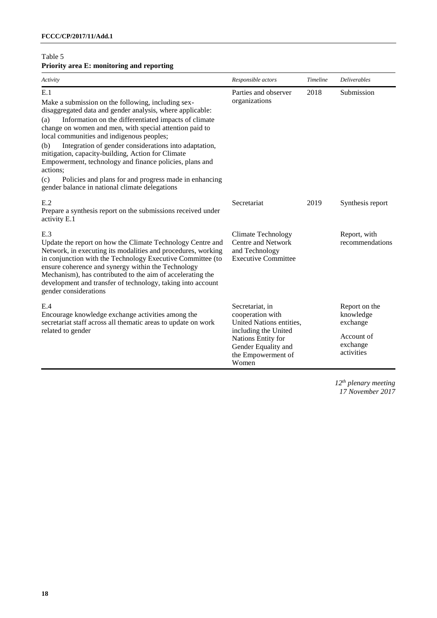### Table 5 **Priority area E: monitoring and reporting**

| Activity                                                                                                                                                                                                                                                                                                                                                                                                                                                                                                                                                                                                    | Responsible actors                                                                                                                                                  | <b>Timeline</b> | <b>Deliverables</b>                                                            |
|-------------------------------------------------------------------------------------------------------------------------------------------------------------------------------------------------------------------------------------------------------------------------------------------------------------------------------------------------------------------------------------------------------------------------------------------------------------------------------------------------------------------------------------------------------------------------------------------------------------|---------------------------------------------------------------------------------------------------------------------------------------------------------------------|-----------------|--------------------------------------------------------------------------------|
| E.1<br>Make a submission on the following, including sex-<br>disaggregated data and gender analysis, where applicable:<br>Information on the differentiated impacts of climate<br>(a)<br>change on women and men, with special attention paid to<br>local communities and indigenous peoples;<br>Integration of gender considerations into adaptation,<br>(b)<br>mitigation, capacity-building, Action for Climate<br>Empowerment, technology and finance policies, plans and<br>actions;<br>Policies and plans for and progress made in enhancing<br>(c)<br>gender balance in national climate delegations | Parties and observer<br>organizations                                                                                                                               | 2018            | Submission                                                                     |
| E.2<br>Prepare a synthesis report on the submissions received under<br>activity E.1                                                                                                                                                                                                                                                                                                                                                                                                                                                                                                                         | Secretariat                                                                                                                                                         | 2019            | Synthesis report                                                               |
| E.3<br>Update the report on how the Climate Technology Centre and<br>Network, in executing its modalities and procedures, working<br>in conjunction with the Technology Executive Committee (to<br>ensure coherence and synergy within the Technology<br>Mechanism), has contributed to the aim of accelerating the<br>development and transfer of technology, taking into account<br>gender considerations                                                                                                                                                                                                 | Climate Technology<br>Centre and Network<br>and Technology<br><b>Executive Committee</b>                                                                            |                 | Report, with<br>recommendations                                                |
| E.4<br>Encourage knowledge exchange activities among the<br>secretariat staff across all thematic areas to update on work<br>related to gender                                                                                                                                                                                                                                                                                                                                                                                                                                                              | Secretariat, in<br>cooperation with<br>United Nations entities,<br>including the United<br>Nations Entity for<br>Gender Equality and<br>the Empowerment of<br>Women |                 | Report on the<br>knowledge<br>exchange<br>Account of<br>exchange<br>activities |

*12th plenary meeting 17 November 2017*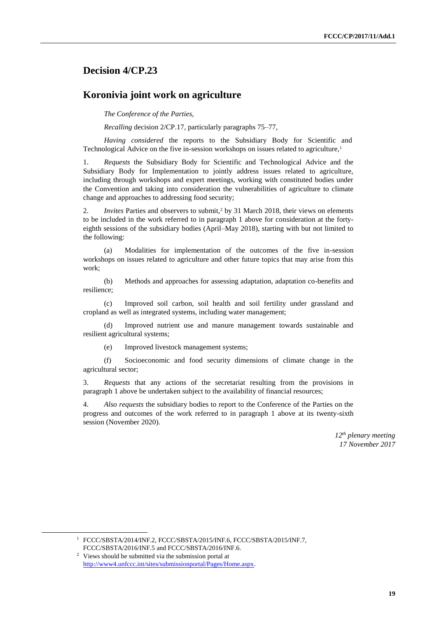### **Decision 4/CP.23**

### **Koronivia joint work on agriculture**

*The Conference of the Parties*,

*Recalling* decision 2/CP.17, particularly paragraphs 75–77,

*Having considered* the reports to the Subsidiary Body for Scientific and Technological Advice on the five in-session workshops on issues related to agriculture,<sup>1</sup>

1. *Requests* the Subsidiary Body for Scientific and Technological Advice and the Subsidiary Body for Implementation to jointly address issues related to agriculture, including through workshops and expert meetings, working with constituted bodies under the Convention and taking into consideration the vulnerabilities of agriculture to climate change and approaches to addressing food security;

2. *Invites* Parties and observers to submit,<sup>2</sup> by 31 March 2018, their views on elements to be included in the work referred to in paragraph 1 above for consideration at the fortyeighth sessions of the subsidiary bodies (April–May 2018), starting with but not limited to the following:

(a) Modalities for implementation of the outcomes of the five in-session workshops on issues related to agriculture and other future topics that may arise from this work;

(b) Methods and approaches for assessing adaptation, adaptation co-benefits and resilience;

(c) Improved soil carbon, soil health and soil fertility under grassland and cropland as well as integrated systems, including water management;

(d) Improved nutrient use and manure management towards sustainable and resilient agricultural systems;

(e) Improved livestock management systems;

(f) Socioeconomic and food security dimensions of climate change in the agricultural sector;

3. *Requests* that any actions of the secretariat resulting from the provisions in paragraph 1 above be undertaken subject to the availability of financial resources;

4. *Also requests* the subsidiary bodies to report to the Conference of the Parties on the progress and outcomes of the work referred to in paragraph 1 above at its twenty-sixth session (November 2020).

> *12th plenary meeting 17 November 2017*

<sup>1</sup> FCCC/SBSTA/2014/INF.2, FCCC/SBSTA/2015/INF.6, FCCC/SBSTA/2015/INF.7, FCCC/SBSTA/2016/INF.5 and FCCC/SBSTA/2016/INF.6.

<sup>2</sup> Views should be submitted via the submission portal at [http://www4.unfccc.int/sites/submissionportal/Pages/Home.aspx.](http://www4.unfccc.int/sites/submissionportal/Pages/Home.aspx)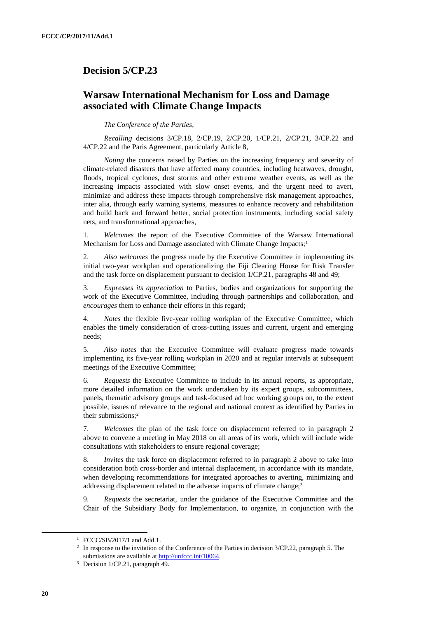## **Decision 5/CP.23**

# **Warsaw International Mechanism for Loss and Damage associated with Climate Change Impacts**

*The Conference of the Parties*,

*Recalling* decisions 3/CP.18, 2/CP.19, 2/CP.20, 1/CP.21, 2/CP.21, 3/CP.22 and 4/CP.22 and the Paris Agreement, particularly Article 8,

*Noting* the concerns raised by Parties on the increasing frequency and severity of climate-related disasters that have affected many countries, including heatwaves, drought, floods, tropical cyclones, dust storms and other extreme weather events, as well as the increasing impacts associated with slow onset events, and the urgent need to avert, minimize and address these impacts through comprehensive risk management approaches, inter alia, through early warning systems, measures to enhance recovery and rehabilitation and build back and forward better, social protection instruments, including social safety nets, and transformational approaches,

1. *Welcomes* the report of the Executive Committee of the Warsaw International Mechanism for Loss and Damage associated with Climate Change Impacts;<sup>1</sup>

2. *Also welcomes* the progress made by the Executive Committee in implementing its initial two-year workplan and operationalizing the Fiji Clearing House for Risk Transfer and the task force on displacement pursuant to decision 1/CP.21, paragraphs 48 and 49;

3. *Expresses its appreciation* to Parties, bodies and organizations for supporting the work of the Executive Committee, including through partnerships and collaboration, and *encourages* them to enhance their efforts in this regard;

4. *Notes* the flexible five-year rolling workplan of the Executive Committee, which enables the timely consideration of cross-cutting issues and current, urgent and emerging needs;

5. *Also notes* that the Executive Committee will evaluate progress made towards implementing its five-year rolling workplan in 2020 and at regular intervals at subsequent meetings of the Executive Committee;

6. *Requests* the Executive Committee to include in its annual reports, as appropriate, more detailed information on the work undertaken by its expert groups, subcommittees, panels, thematic advisory groups and task-focused ad hoc working groups on, to the extent possible, issues of relevance to the regional and national context as identified by Parties in their submissions;<sup>2</sup>

7. *Welcomes* the plan of the task force on displacement referred to in paragraph 2 above to convene a meeting in May 2018 on all areas of its work, which will include wide consultations with stakeholders to ensure regional coverage;

8. *Invites* the task force on displacement referred to in paragraph 2 above to take into consideration both cross-border and internal displacement, in accordance with its mandate, when developing recommendations for integrated approaches to averting, minimizing and addressing displacement related to the adverse impacts of climate change;<sup>3</sup>

9. *Requests* the secretariat, under the guidance of the Executive Committee and the Chair of the Subsidiary Body for Implementation, to organize, in conjunction with the

<sup>1</sup> FCCC/SB/2017/1 and Add.1.

<sup>&</sup>lt;sup>2</sup> In response to the invitation of the Conference of the Parties in decision 3/CP.22, paragraph 5. The submissions are available at http://unfccc.int/10064.

<sup>3</sup> Decision 1/CP.21, paragraph 49.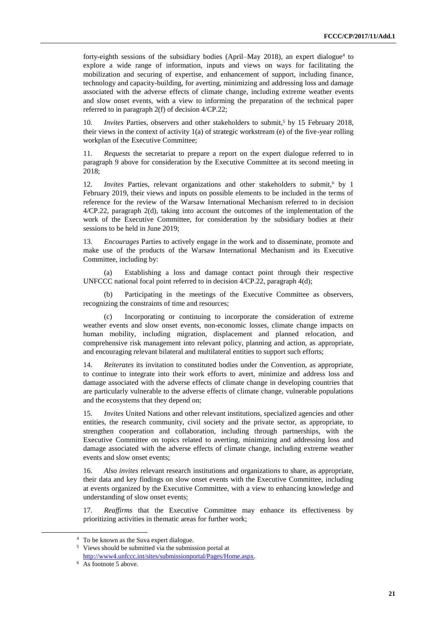forty-eighth sessions of the subsidiary bodies (April–May 2018), an expert dialogue<sup>4</sup> to explore a wide range of information, inputs and views on ways for facilitating the mobilization and securing of expertise, and enhancement of support, including finance, technology and capacity-building, for averting, minimizing and addressing loss and damage associated with the adverse effects of climate change, including extreme weather events and slow onset events, with a view to informing the preparation of the technical paper referred to in paragraph 2(f) of decision 4/CP.22;

10. *Invites* Parties, observers and other stakeholders to submit,<sup>5</sup> by 15 February 2018, their views in the context of activity 1(a) of strategic workstream (e) of the five-year rolling workplan of the Executive Committee;

11. *Requests* the secretariat to prepare a report on the expert dialogue referred to in paragraph 9 above for consideration by the Executive Committee at its second meeting in 2018;

12. *Invites* Parties, relevant organizations and other stakeholders to submit,<sup>6</sup> by 1 February 2019, their views and inputs on possible elements to be included in the terms of reference for the review of the Warsaw International Mechanism referred to in decision 4/CP.22, paragraph 2(d), taking into account the outcomes of the implementation of the work of the Executive Committee, for consideration by the subsidiary bodies at their sessions to be held in June 2019;

13. *Encourages* Parties to actively engage in the work and to disseminate, promote and make use of the products of the Warsaw International Mechanism and its Executive Committee, including by:

(a) Establishing a loss and damage contact point through their respective UNFCCC national focal point referred to in decision 4/CP.22, paragraph 4(d);

Participating in the meetings of the Executive Committee as observers, recognizing the constraints of time and resources;

(c) Incorporating or continuing to incorporate the consideration of extreme weather events and slow onset events, non-economic losses, climate change impacts on human mobility, including migration, displacement and planned relocation, and comprehensive risk management into relevant policy, planning and action, as appropriate, and encouraging relevant bilateral and multilateral entities to support such efforts;

14. *Reiterates* its invitation to constituted bodies under the Convention, as appropriate, to continue to integrate into their work efforts to avert, minimize and address loss and damage associated with the adverse effects of climate change in developing countries that are particularly vulnerable to the adverse effects of climate change, vulnerable populations and the ecosystems that they depend on;

15. *Invites* United Nations and other relevant institutions, specialized agencies and other entities, the research community, civil society and the private sector, as appropriate, to strengthen cooperation and collaboration, including through partnerships, with the Executive Committee on topics related to averting, minimizing and addressing loss and damage associated with the adverse effects of climate change, including extreme weather events and slow onset events;

16. *Also invites* relevant research institutions and organizations to share, as appropriate, their data and key findings on slow onset events with the Executive Committee, including at events organized by the Executive Committee, with a view to enhancing knowledge and understanding of slow onset events;

17. *Reaffirms* that the Executive Committee may enhance its effectiveness by prioritizing activities in thematic areas for further work;

<sup>4</sup> To be known as the Suva expert dialogue.

<sup>5</sup> Views should be submitted via the submission portal at [http://www4.unfccc.int/sites/submissionportal/Pages/Home.aspx.](http://www4.unfccc.int/sites/submissionportal/Pages/Home.aspx)

<sup>6</sup> As footnote 5 above.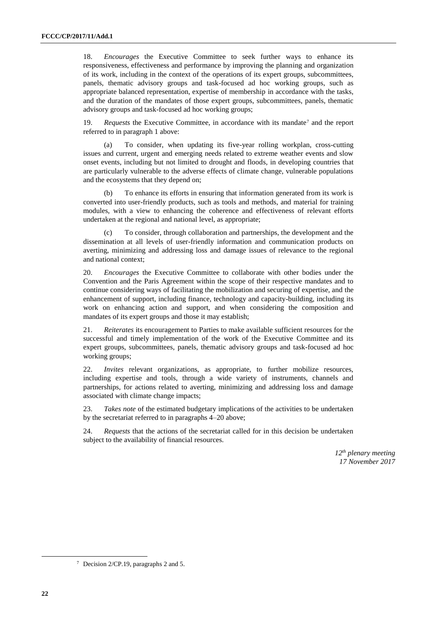18. *Encourages* the Executive Committee to seek further ways to enhance its responsiveness, effectiveness and performance by improving the planning and organization of its work, including in the context of the operations of its expert groups, subcommittees, panels, thematic advisory groups and task-focused ad hoc working groups, such as appropriate balanced representation, expertise of membership in accordance with the tasks, and the duration of the mandates of those expert groups, subcommittees, panels, thematic advisory groups and task-focused ad hoc working groups;

19. *Requests* the Executive Committee, in accordance with its mandate<sup>7</sup> and the report referred to in paragraph 1 above:

(a) To consider, when updating its five-year rolling workplan, cross-cutting issues and current, urgent and emerging needs related to extreme weather events and slow onset events, including but not limited to drought and floods, in developing countries that are particularly vulnerable to the adverse effects of climate change, vulnerable populations and the ecosystems that they depend on;

(b) To enhance its efforts in ensuring that information generated from its work is converted into user-friendly products, such as tools and methods, and material for training modules, with a view to enhancing the coherence and effectiveness of relevant efforts undertaken at the regional and national level, as appropriate;

(c) To consider, through collaboration and partnerships, the development and the dissemination at all levels of user-friendly information and communication products on averting, minimizing and addressing loss and damage issues of relevance to the regional and national context;

20. *Encourages* the Executive Committee to collaborate with other bodies under the Convention and the Paris Agreement within the scope of their respective mandates and to continue considering ways of facilitating the mobilization and securing of expertise, and the enhancement of support, including finance, technology and capacity-building, including its work on enhancing action and support, and when considering the composition and mandates of its expert groups and those it may establish;

21. *Reiterates* its encouragement to Parties to make available sufficient resources for the successful and timely implementation of the work of the Executive Committee and its expert groups, subcommittees, panels, thematic advisory groups and task-focused ad hoc working groups;

22. *Invites* relevant organizations, as appropriate, to further mobilize resources, including expertise and tools, through a wide variety of instruments, channels and partnerships, for actions related to averting, minimizing and addressing loss and damage associated with climate change impacts;

23. *Takes note* of the estimated budgetary implications of the activities to be undertaken by the secretariat referred to in paragraphs 4–20 above;

24. *Requests* that the actions of the secretariat called for in this decision be undertaken subject to the availability of financial resources.

> *12th plenary meeting 17 November 2017*

 $\overline{a}$ 

<sup>7</sup> Decision 2/CP.19, paragraphs 2 and 5.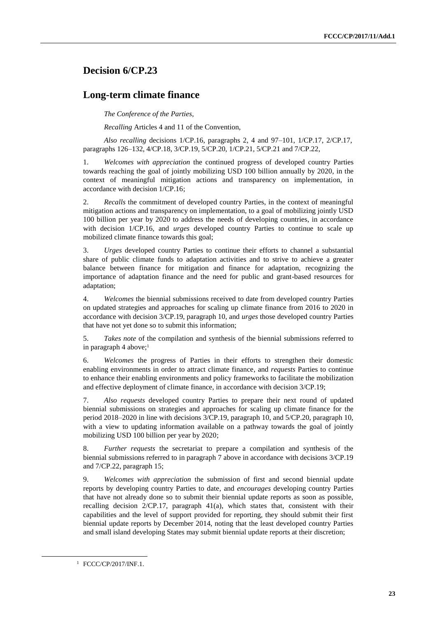# **Decision 6/CP.23**

### **Long-term climate finance**

*The Conference of the Parties*,

*Recalling* Articles 4 and 11 of the Convention,

*Also recalling* decisions 1/CP.16, paragraphs 2, 4 and 97–101, 1/CP.17, 2/CP.17, paragraphs 126–132, 4/CP.18, 3/CP.19, 5/CP.20, 1/CP.21, 5/CP.21 and 7/CP.22,

1. *Welcomes with appreciation* the continued progress of developed country Parties towards reaching the goal of jointly mobilizing USD 100 billion annually by 2020, in the context of meaningful mitigation actions and transparency on implementation, in accordance with decision 1/CP.16;

2. *Recalls* the commitment of developed country Parties, in the context of meaningful mitigation actions and transparency on implementation, to a goal of mobilizing jointly USD 100 billion per year by 2020 to address the needs of developing countries, in accordance with decision 1/CP.16, and *urges* developed country Parties to continue to scale up mobilized climate finance towards this goal;

3. *Urges* developed country Parties to continue their efforts to channel a substantial share of public climate funds to adaptation activities and to strive to achieve a greater balance between finance for mitigation and finance for adaptation, recognizing the importance of adaptation finance and the need for public and grant-based resources for adaptation;

4. *Welcomes* the biennial submissions received to date from developed country Parties on updated strategies and approaches for scaling up climate finance from 2016 to 2020 in accordance with decision 3/CP.19, paragraph 10, and *urges* those developed country Parties that have not yet done so to submit this information;

5. *Takes note* of the compilation and synthesis of the biennial submissions referred to in paragraph 4 above;<sup>1</sup>

6. *Welcomes* the progress of Parties in their efforts to strengthen their domestic enabling environments in order to attract climate finance, and *requests* Parties to continue to enhance their enabling environments and policy frameworks to facilitate the mobilization and effective deployment of climate finance, in accordance with decision 3/CP.19;

7. *Also requests* developed country Parties to prepare their next round of updated biennial submissions on strategies and approaches for scaling up climate finance for the period 2018–2020 in line with decisions 3/CP.19, paragraph 10, and 5/CP.20, paragraph 10, with a view to updating information available on a pathway towards the goal of jointly mobilizing USD 100 billion per year by 2020;

8. *Further requests* the secretariat to prepare a compilation and synthesis of the biennial submissions referred to in paragraph 7 above in accordance with decisions 3/CP.19 and 7/CP.22, paragraph 15;

9. *Welcomes with appreciation* the submission of first and second biennial update reports by developing country Parties to date, and *encourages* developing country Parties that have not already done so to submit their biennial update reports as soon as possible, recalling decision 2/CP.17, paragraph 41(a), which states that, consistent with their capabilities and the level of support provided for reporting, they should submit their first biennial update reports by December 2014, noting that the least developed country Parties and small island developing States may submit biennial update reports at their discretion;

 $\overline{a}$ 

<sup>1</sup> FCCC/CP/2017/INF.1.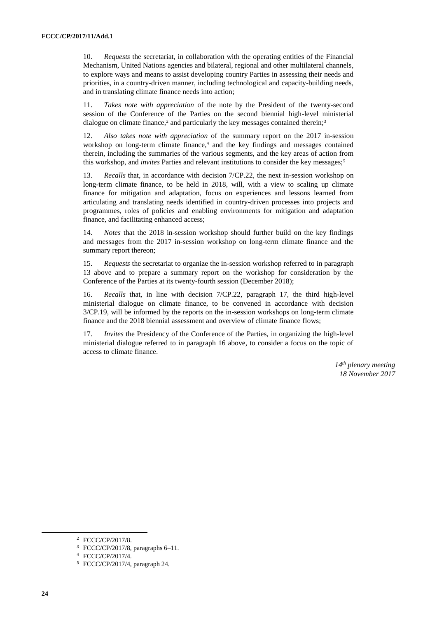10. *Requests* the secretariat, in collaboration with the operating entities of the Financial Mechanism, United Nations agencies and bilateral, regional and other multilateral channels, to explore ways and means to assist developing country Parties in assessing their needs and priorities, in a country-driven manner, including technological and capacity-building needs, and in translating climate finance needs into action;

11. *Takes note with appreciation* of the note by the President of the twenty-second session of the Conference of the Parties on the second biennial high-level ministerial dialogue on climate finance,<sup>2</sup> and particularly the key messages contained therein;<sup>3</sup>

12. *Also takes note with appreciation* of the summary report on the 2017 in-session workshop on long-term climate finance,<sup>4</sup> and the key findings and messages contained therein, including the summaries of the various segments, and the key areas of action from this workshop, and *invites* Parties and relevant institutions to consider the key messages;<sup>5</sup>

13. *Recalls* that, in accordance with decision 7/CP.22, the next in-session workshop on long-term climate finance, to be held in 2018, will, with a view to scaling up climate finance for mitigation and adaptation, focus on experiences and lessons learned from articulating and translating needs identified in country-driven processes into projects and programmes, roles of policies and enabling environments for mitigation and adaptation finance, and facilitating enhanced access;

14. *Notes* that the 2018 in-session workshop should further build on the key findings and messages from the 2017 in-session workshop on long-term climate finance and the summary report thereon;

15. *Requests* the secretariat to organize the in-session workshop referred to in paragraph 13 above and to prepare a summary report on the workshop for consideration by the Conference of the Parties at its twenty-fourth session (December 2018);

16. *Recalls* that, in line with decision 7/CP.22, paragraph 17, the third high-level ministerial dialogue on climate finance, to be convened in accordance with decision 3/CP.19, will be informed by the reports on the in-session workshops on long-term climate finance and the 2018 biennial assessment and overview of climate finance flows;

17. *Invites* the Presidency of the Conference of the Parties, in organizing the high-level ministerial dialogue referred to in paragraph 16 above, to consider a focus on the topic of access to climate finance.

> *14th plenary meeting 18 November 2017*

<sup>2</sup> FCCC/CP/2017/8.

 $3$  FCCC/CP/2017/8, paragraphs 6–11.

<sup>4</sup> FCCC/CP/2017/4.

<sup>5</sup> FCCC/CP/2017/4, paragraph 24.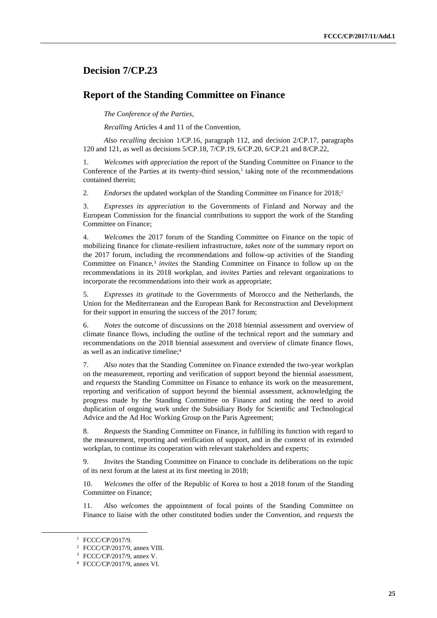# **Decision 7/CP.23**

### **Report of the Standing Committee on Finance**

*The Conference of the Parties*,

*Recalling* Articles 4 and 11 of the Convention,

*Also recalling* decision 1/CP.16, paragraph 112, and decision 2/CP.17, paragraphs 120 and 121, as well as decisions 5/CP.18, 7/CP.19, 6/CP.20, 6/CP.21 and 8/CP.22,

1. *Welcomes with appreciation* the report of the Standing Committee on Finance to the Conference of the Parties at its twenty-third session, $<sup>1</sup>$  taking note of the recommendations</sup> contained therein;

2. *Endorses* the updated workplan of the Standing Committee on Finance for 2018;<sup>2</sup>

3. *Expresses its appreciation* to the Governments of Finland and Norway and the European Commission for the financial contributions to support the work of the Standing Committee on Finance;

4. *Welcomes* the 2017 forum of the Standing Committee on Finance on the topic of mobilizing finance for climate-resilient infrastructure, *takes note* of the summary report on the 2017 forum, including the recommendations and follow-up activities of the Standing Committee on Finance,<sup>3</sup> invites the Standing Committee on Finance to follow up on the recommendations in its 2018 workplan, and *invites* Parties and relevant organizations to incorporate the recommendations into their work as appropriate;

5. *Expresses its gratitude* to the Governments of Morocco and the Netherlands, the Union for the Mediterranean and the European Bank for Reconstruction and Development for their support in ensuring the success of the 2017 forum;

6. *Notes* the outcome of discussions on the 2018 biennial assessment and overview of climate finance flows, including the outline of the technical report and the summary and recommendations on the 2018 biennial assessment and overview of climate finance flows, as well as an indicative timeline;<sup>4</sup>

7. *Also notes* that the Standing Committee on Finance extended the two-year workplan on the measurement, reporting and verification of support beyond the biennial assessment, and *requests* the Standing Committee on Finance to enhance its work on the measurement, reporting and verification of support beyond the biennial assessment, acknowledging the progress made by the Standing Committee on Finance and noting the need to avoid duplication of ongoing work under the Subsidiary Body for Scientific and Technological Advice and the Ad Hoc Working Group on the Paris Agreement;

8. *Requests* the Standing Committee on Finance, in fulfilling its function with regard to the measurement, reporting and verification of support, and in the context of its extended workplan, to continue its cooperation with relevant stakeholders and experts;

9. *Invites* the Standing Committee on Finance to conclude its deliberations on the topic of its next forum at the latest at its first meeting in 2018;

10. *Welcomes* the offer of the Republic of Korea to host a 2018 forum of the Standing Committee on Finance;

11. *Also welcomes* the appointment of focal points of the Standing Committee on Finance to liaise with the other constituted bodies under the Convention, and *requests* the

<sup>1</sup> FCCC/CP/2017/9.

<sup>2</sup> FCCC/CP/2017/9, annex VIII.

<sup>3</sup> FCCC/CP/2017/9, annex V.

<sup>4</sup> FCCC/CP/2017/9, annex VI.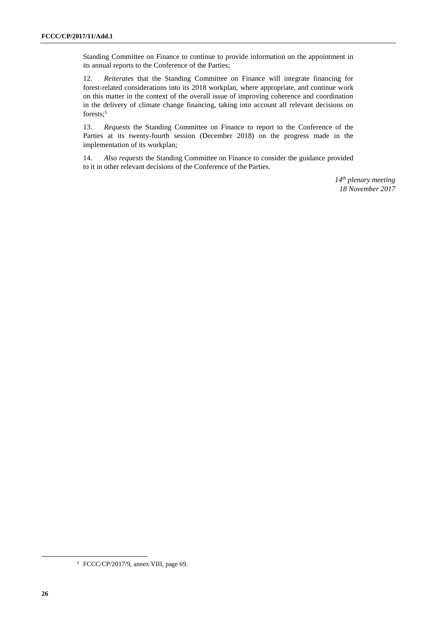Standing Committee on Finance to continue to provide information on the appointment in its annual reports to the Conference of the Parties;

12. *Reiterates* that the Standing Committee on Finance will integrate financing for forest-related considerations into its 2018 workplan, where appropriate, and continue work on this matter in the context of the overall issue of improving coherence and coordination in the delivery of climate change financing, taking into account all relevant decisions on forests:<sup>5</sup>

13. *Requests* the Standing Committee on Finance to report to the Conference of the Parties at its twenty-fourth session (December 2018) on the progress made in the implementation of its workplan;

14. *Also requests* the Standing Committee on Finance to consider the guidance provided to it in other relevant decisions of the Conference of the Parties.

> *14th plenary meeting 18 November 2017*

 $\overline{a}$ 

<sup>5</sup> FCCC/CP/2017/9, annex VIII, page 69.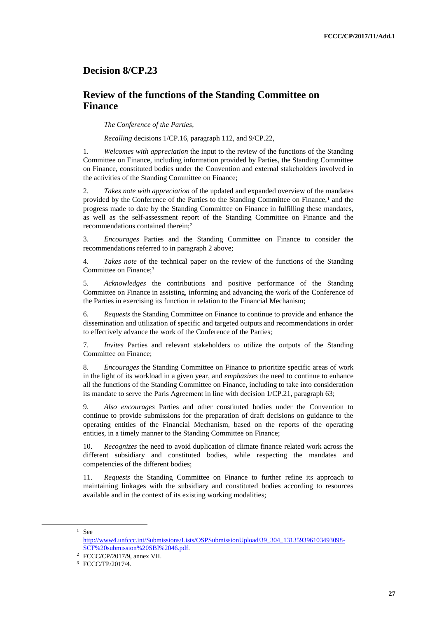# **Decision 8/CP.23**

# **Review of the functions of the Standing Committee on Finance**

*The Conference of the Parties*,

*Recalling* decisions 1/CP.16, paragraph 112, and 9/CP.22,

1. *Welcomes with appreciation* the input to the review of the functions of the Standing Committee on Finance, including information provided by Parties, the Standing Committee on Finance, constituted bodies under the Convention and external stakeholders involved in the activities of the Standing Committee on Finance;

2. *Takes note with appreciation* of the updated and expanded overview of the mandates provided by the Conference of the Parties to the Standing Committee on Finance.<sup>1</sup> and the progress made to date by the Standing Committee on Finance in fulfilling these mandates, as well as the self-assessment report of the Standing Committee on Finance and the recommendations contained therein;<sup>2</sup>

3. *Encourages* Parties and the Standing Committee on Finance to consider the recommendations referred to in paragraph 2 above;

4. *Takes note* of the technical paper on the review of the functions of the Standing Committee on Finance;<sup>3</sup>

5. *Acknowledges* the contributions and positive performance of the Standing Committee on Finance in assisting, informing and advancing the work of the Conference of the Parties in exercising its function in relation to the Financial Mechanism;

6. *Requests* the Standing Committee on Finance to continue to provide and enhance the dissemination and utilization of specific and targeted outputs and recommendations in order to effectively advance the work of the Conference of the Parties;

7. *Invites* Parties and relevant stakeholders to utilize the outputs of the Standing Committee on Finance;

8. *Encourages* the Standing Committee on Finance to prioritize specific areas of work in the light of its workload in a given year, and *emphasizes* the need to continue to enhance all the functions of the Standing Committee on Finance, including to take into consideration its mandate to serve the Paris Agreement in line with decision 1/CP.21, paragraph 63;

9. *Also encourages* Parties and other constituted bodies under the Convention to continue to provide submissions for the preparation of draft decisions on guidance to the operating entities of the Financial Mechanism, based on the reports of the operating entities, in a timely manner to the Standing Committee on Finance;

10. *Recognizes* the need to avoid duplication of climate finance related work across the different subsidiary and constituted bodies, while respecting the mandates and competencies of the different bodies;

11. *Requests* the Standing Committee on Finance to further refine its approach to maintaining linkages with the subsidiary and constituted bodies according to resources available and in the context of its existing working modalities;

 $1$  See

[http://www4.unfccc.int/Submissions/Lists/OSPSubmissionUpload/39\\_304\\_131359396103493098-](http://www4.unfccc.int/Submissions/Lists/OSPSubmissionUpload/39_304_131359396103493098-SCF%20submission%20SBI%2046.pdf) [SCF%20submission%20SBI%2046.pdf.](http://www4.unfccc.int/Submissions/Lists/OSPSubmissionUpload/39_304_131359396103493098-SCF%20submission%20SBI%2046.pdf) 

<sup>2</sup> FCCC/CP/2017/9, annex VII.

<sup>3</sup> FCCC/TP/2017/4.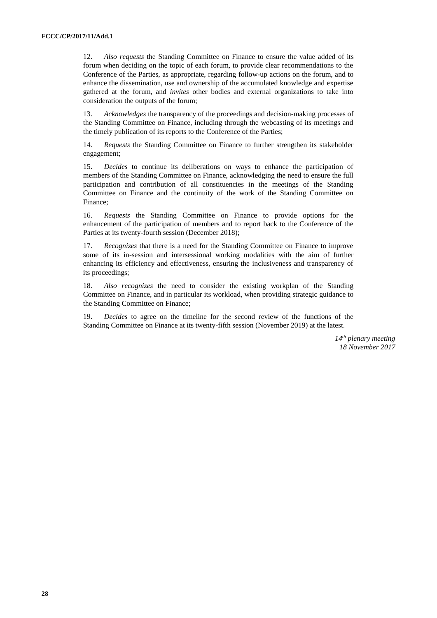12. *Also requests* the Standing Committee on Finance to ensure the value added of its forum when deciding on the topic of each forum, to provide clear recommendations to the Conference of the Parties, as appropriate, regarding follow-up actions on the forum, and to enhance the dissemination, use and ownership of the accumulated knowledge and expertise gathered at the forum, and *invites* other bodies and external organizations to take into consideration the outputs of the forum;

13. *Acknowledges* the transparency of the proceedings and decision-making processes of the Standing Committee on Finance, including through the webcasting of its meetings and the timely publication of its reports to the Conference of the Parties;

14. *Requests* the Standing Committee on Finance to further strengthen its stakeholder engagement;

15. *Decides* to continue its deliberations on ways to enhance the participation of members of the Standing Committee on Finance, acknowledging the need to ensure the full participation and contribution of all constituencies in the meetings of the Standing Committee on Finance and the continuity of the work of the Standing Committee on Finance;

16. *Requests* the Standing Committee on Finance to provide options for the enhancement of the participation of members and to report back to the Conference of the Parties at its twenty-fourth session (December 2018);

17. *Recognizes* that there is a need for the Standing Committee on Finance to improve some of its in-session and intersessional working modalities with the aim of further enhancing its efficiency and effectiveness, ensuring the inclusiveness and transparency of its proceedings;

18. *Also recognizes* the need to consider the existing workplan of the Standing Committee on Finance, and in particular its workload, when providing strategic guidance to the Standing Committee on Finance;

19. *Decides* to agree on the timeline for the second review of the functions of the Standing Committee on Finance at its twenty-fifth session (November 2019) at the latest.

> *14 th plenary meeting 18 November 2017*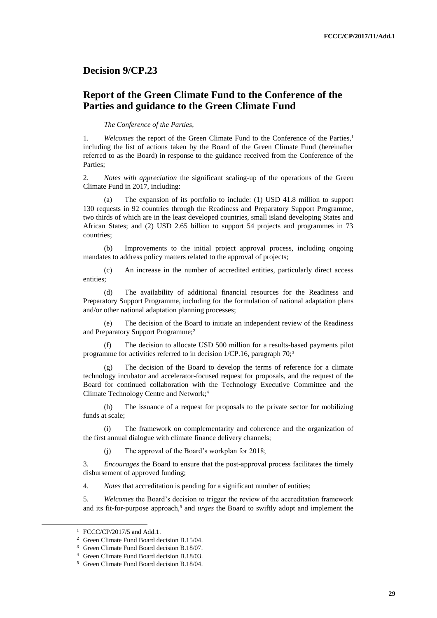### **Decision 9/CP.23**

# **Report of the Green Climate Fund to the Conference of the Parties and guidance to the Green Climate Fund**

#### *The Conference of the Parties*,

1. *Welcomes* the report of the Green Climate Fund to the Conference of the Parties,<sup>1</sup> including the list of actions taken by the Board of the Green Climate Fund (hereinafter referred to as the Board) in response to the guidance received from the Conference of the Parties;

2. *Notes with appreciation* the significant scaling-up of the operations of the Green Climate Fund in 2017, including:

(a) The expansion of its portfolio to include: (1) USD 41.8 million to support 130 requests in 92 countries through the Readiness and Preparatory Support Programme, two thirds of which are in the least developed countries, small island developing States and African States; and (2) USD 2.65 billion to support 54 projects and programmes in 73 countries;

(b) Improvements to the initial project approval process, including ongoing mandates to address policy matters related to the approval of projects;

(c) An increase in the number of accredited entities, particularly direct access entities;

(d) The availability of additional financial resources for the Readiness and Preparatory Support Programme, including for the formulation of national adaptation plans and/or other national adaptation planning processes;

(e) The decision of the Board to initiate an independent review of the Readiness and Preparatory Support Programme;<sup>2</sup>

(f) The decision to allocate USD 500 million for a results-based payments pilot programme for activities referred to in decision  $1/CP.16$ , paragraph  $70$ ;<sup>3</sup>

(g) The decision of the Board to develop the terms of reference for a climate technology incubator and accelerator-focused request for proposals, and the request of the Board for continued collaboration with the Technology Executive Committee and the Climate Technology Centre and Network;<sup>4</sup>

(h) The issuance of a request for proposals to the private sector for mobilizing funds at scale;

(i) The framework on complementarity and coherence and the organization of the first annual dialogue with climate finance delivery channels;

(j) The approval of the Board's workplan for 2018;

3. *Encourages* the Board to ensure that the post-approval process facilitates the timely disbursement of approved funding;

4. *Notes* that accreditation is pending for a significant number of entities;

5. *Welcomes* the Board's decision to trigger the review of the accreditation framework and its fit-for-purpose approach,<sup>5</sup> and *urges* the Board to swiftly adopt and implement the

<sup>1</sup> FCCC/CP/2017/5 and Add.1.

<sup>2</sup> Green Climate Fund Board decision B.15/04.

<sup>3</sup> Green Climate Fund Board decision B.18/07.

<sup>4</sup> Green Climate Fund Board decision B.18/03.

<sup>5</sup> Green Climate Fund Board decision B.18/04.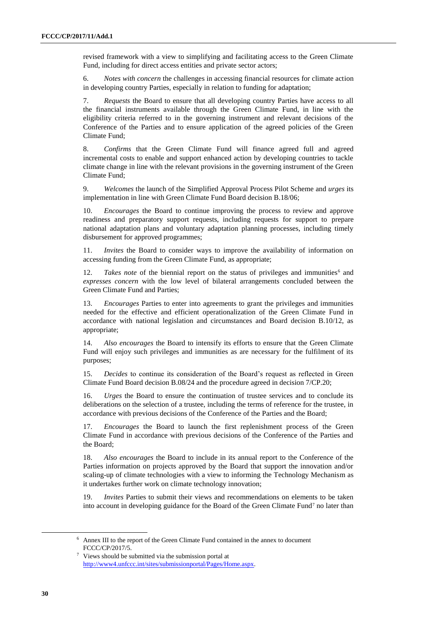revised framework with a view to simplifying and facilitating access to the Green Climate Fund, including for direct access entities and private sector actors;

6. *Notes with concern* the challenges in accessing financial resources for climate action in developing country Parties, especially in relation to funding for adaptation;

7. *Requests* the Board to ensure that all developing country Parties have access to all the financial instruments available through the Green Climate Fund, in line with the eligibility criteria referred to in the governing instrument and relevant decisions of the Conference of the Parties and to ensure application of the agreed policies of the Green Climate Fund;

8. *Confirms* that the Green Climate Fund will finance agreed full and agreed incremental costs to enable and support enhanced action by developing countries to tackle climate change in line with the relevant provisions in the governing instrument of the Green Climate Fund;

9. *Welcomes* the launch of the Simplified Approval Process Pilot Scheme and *urges* its implementation in line with Green Climate Fund Board decision B.18/06;

10. *Encourages* the Board to continue improving the process to review and approve readiness and preparatory support requests, including requests for support to prepare national adaptation plans and voluntary adaptation planning processes, including timely disbursement for approved programmes;

11. *Invites* the Board to consider ways to improve the availability of information on accessing funding from the Green Climate Fund, as appropriate;

12. *Takes note* of the biennial report on the status of privileges and immunities<sup>6</sup> and *expresses concern* with the low level of bilateral arrangements concluded between the Green Climate Fund and Parties;

13. *Encourages* Parties to enter into agreements to grant the privileges and immunities needed for the effective and efficient operationalization of the Green Climate Fund in accordance with national legislation and circumstances and Board decision B.10/12, as appropriate;

14. *Also encourages* the Board to intensify its efforts to ensure that the Green Climate Fund will enjoy such privileges and immunities as are necessary for the fulfilment of its purposes;

15. *Decides* to continue its consideration of the Board's request as reflected in Green Climate Fund Board decision B.08/24 and the procedure agreed in decision 7/CP.20;

16. *Urges* the Board to ensure the continuation of trustee services and to conclude its deliberations on the selection of a trustee, including the terms of reference for the trustee, in accordance with previous decisions of the Conference of the Parties and the Board;

17. *Encourages* the Board to launch the first replenishment process of the Green Climate Fund in accordance with previous decisions of the Conference of the Parties and the Board;

18. *Also encourages* the Board to include in its annual report to the Conference of the Parties information on projects approved by the Board that support the innovation and/or scaling-up of climate technologies with a view to informing the Technology Mechanism as it undertakes further work on climate technology innovation;

19. *Invites* Parties to submit their views and recommendations on elements to be taken into account in developing guidance for the Board of the Green Climate Fund<sup>7</sup> no later than

<sup>6</sup> Annex III to the report of the Green Climate Fund contained in the annex to document FCCC/CP/2017/5.

<sup>7</sup> Views should be submitted via the submission portal at [http://www4.unfccc.int/sites/submissionportal/Pages/Home.aspx.](http://www4.unfccc.int/sites/submissionportal/Pages/Home.aspx)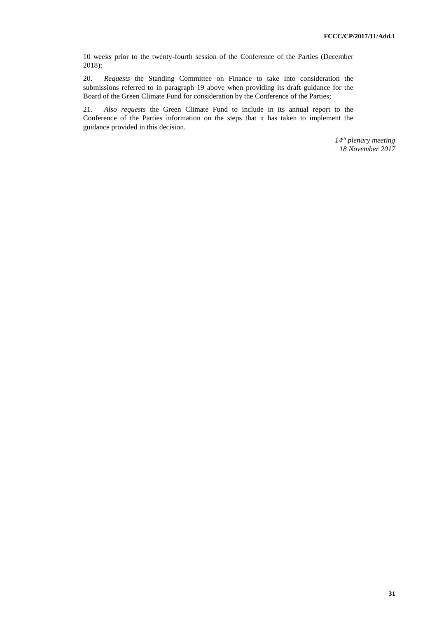10 weeks prior to the twenty-fourth session of the Conference of the Parties (December 2018);

20. *Requests* the Standing Committee on Finance to take into consideration the submissions referred to in paragraph 19 above when providing its draft guidance for the Board of the Green Climate Fund for consideration by the Conference of the Parties;

21. *Also requests* the Green Climate Fund to include in its annual report to the Conference of the Parties information on the steps that it has taken to implement the guidance provided in this decision.

> *14th plenary meeting 18 November 2017*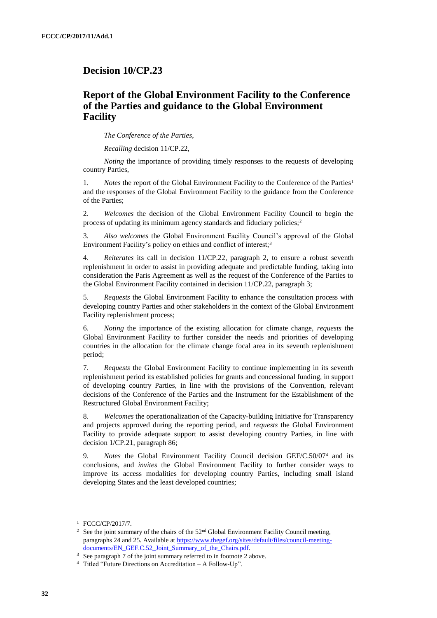### **Decision 10/CP.23**

# **Report of the Global Environment Facility to the Conference of the Parties and guidance to the Global Environment Facility**

*The Conference of the Parties*,

*Recalling* decision 11/CP.22,

*Noting* the importance of providing timely responses to the requests of developing country Parties,

1. *Notes* the report of the Global Environment Facility to the Conference of the Parties<sup>1</sup> and the responses of the Global Environment Facility to the guidance from the Conference of the Parties;

2. *Welcomes* the decision of the Global Environment Facility Council to begin the process of updating its minimum agency standards and fiduciary policies;<sup>2</sup>

3. *Also welcomes* the Global Environment Facility Council's approval of the Global Environment Facility's policy on ethics and conflict of interest;<sup>3</sup>

4. *Reiterates* its call in decision 11/CP.22, paragraph 2, to ensure a robust seventh replenishment in order to assist in providing adequate and predictable funding, taking into consideration the Paris Agreement as well as the request of the Conference of the Parties to the Global Environment Facility contained in decision 11/CP.22, paragraph 3;

5. *Requests* the Global Environment Facility to enhance the consultation process with developing country Parties and other stakeholders in the context of the Global Environment Facility replenishment process;

6. *Noting* the importance of the existing allocation for climate change, *requests* the Global Environment Facility to further consider the needs and priorities of developing countries in the allocation for the climate change focal area in its seventh replenishment period;

7. *Requests* the Global Environment Facility to continue implementing in its seventh replenishment period its established policies for grants and concessional funding, in support of developing country Parties, in line with the provisions of the Convention, relevant decisions of the Conference of the Parties and the Instrument for the Establishment of the Restructured Global Environment Facility;

8. *Welcomes* the operationalization of the Capacity-building Initiative for Transparency and projects approved during the reporting period, and *requests* the Global Environment Facility to provide adequate support to assist developing country Parties, in line with decision 1/CP.21, paragraph 86;

9. *Notes* the Global Environment Facility Council decision GEF/C.50/07<sup>4</sup> and its conclusions, and *invites* the Global Environment Facility to further consider ways to improve its access modalities for developing country Parties, including small island developing States and the least developed countries;

<sup>1</sup> FCCC/CP/2017/7.

<sup>&</sup>lt;sup>2</sup> See the joint summary of the chairs of the  $52<sup>nd</sup>$  Global Environment Facility Council meeting, paragraphs 24 and 25. Available at [https://www.thegef.org/sites/default/files/council-meeting](https://www.thegef.org/sites/default/files/council-meeting-documents/EN_GEF.C.52_Joint_Summary_of_the_Chairs.pdf)[documents/EN\\_GEF.C.52\\_Joint\\_Summary\\_of\\_the\\_Chairs.pdf.](https://www.thegef.org/sites/default/files/council-meeting-documents/EN_GEF.C.52_Joint_Summary_of_the_Chairs.pdf)

<sup>&</sup>lt;sup>3</sup> See paragraph 7 of the joint summary referred to in footnote 2 above.

<sup>4</sup> Titled "Future Directions on Accreditation – A Follow-Up".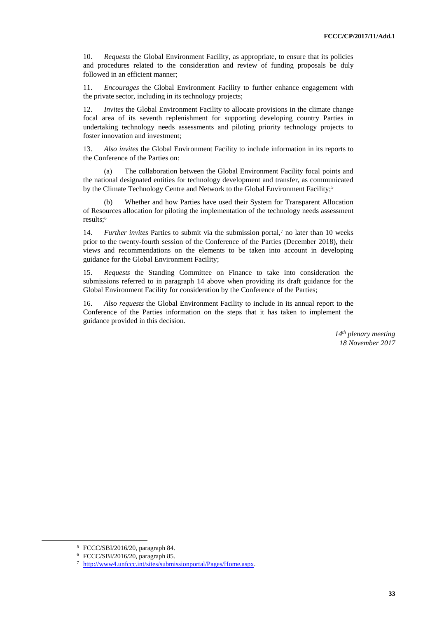10. *Requests* the Global Environment Facility, as appropriate, to ensure that its policies and procedures related to the consideration and review of funding proposals be duly followed in an efficient manner;

11. *Encourages* the Global Environment Facility to further enhance engagement with the private sector, including in its technology projects;

12. *Invites* the Global Environment Facility to allocate provisions in the climate change focal area of its seventh replenishment for supporting developing country Parties in undertaking technology needs assessments and piloting priority technology projects to foster innovation and investment;

13. *Also invites* the Global Environment Facility to include information in its reports to the Conference of the Parties on:

(a) The collaboration between the Global Environment Facility focal points and the national designated entities for technology development and transfer, as communicated by the Climate Technology Centre and Network to the Global Environment Facility;<sup>5</sup>

(b) Whether and how Parties have used their System for Transparent Allocation of Resources allocation for piloting the implementation of the technology needs assessment results:<sup>6</sup>

14. *Further invites* Parties to submit via the submission portal,<sup>7</sup> no later than 10 weeks prior to the twenty-fourth session of the Conference of the Parties (December 2018), their views and recommendations on the elements to be taken into account in developing guidance for the Global Environment Facility;

15. *Requests* the Standing Committee on Finance to take into consideration the submissions referred to in paragraph 14 above when providing its draft guidance for the Global Environment Facility for consideration by the Conference of the Parties;

16. *Also requests* the Global Environment Facility to include in its annual report to the Conference of the Parties information on the steps that it has taken to implement the guidance provided in this decision.

> *14th plenary meeting 18 November 2017*

<sup>5</sup> FCCC/SBI/2016/20, paragraph 84.

<sup>6</sup> FCCC/SBI/2016/20, paragraph 85.

<sup>7</sup> [http://www4.unfccc.int/sites/submissionportal/Pages/Home.aspx.](http://www4.unfccc.int/sites/submissionportal/Pages/Home.aspx)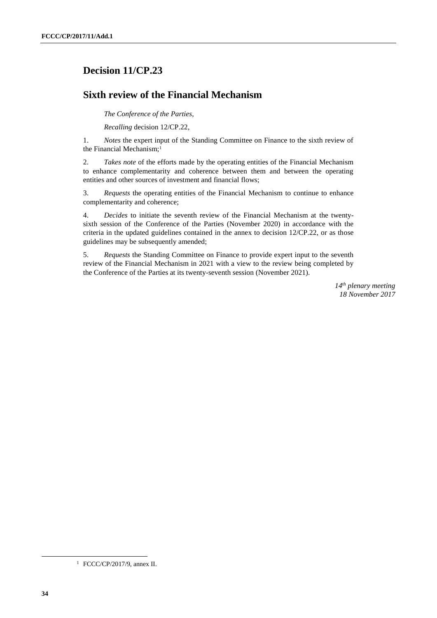# **Decision 11/CP.23**

# **Sixth review of the Financial Mechanism**

*The Conference of the Parties*,

*Recalling* decision 12/CP.22,

1. *Notes* the expert input of the Standing Committee on Finance to the sixth review of the Financial Mechanism:<sup>1</sup>

2. *Takes note* of the efforts made by the operating entities of the Financial Mechanism to enhance complementarity and coherence between them and between the operating entities and other sources of investment and financial flows;

3. *Requests* the operating entities of the Financial Mechanism to continue to enhance complementarity and coherence;

4. *Decides* to initiate the seventh review of the Financial Mechanism at the twentysixth session of the Conference of the Parties (November 2020) in accordance with the criteria in the updated guidelines contained in the annex to decision 12/CP.22, or as those guidelines may be subsequently amended;

5. *Requests* the Standing Committee on Finance to provide expert input to the seventh review of the Financial Mechanism in 2021 with a view to the review being completed by the Conference of the Parties at its twenty-seventh session (November 2021).

> *14th plenary meeting 18 November 2017*

 $\overline{a}$ 

<sup>1</sup> FCCC/CP/2017/9, annex II.